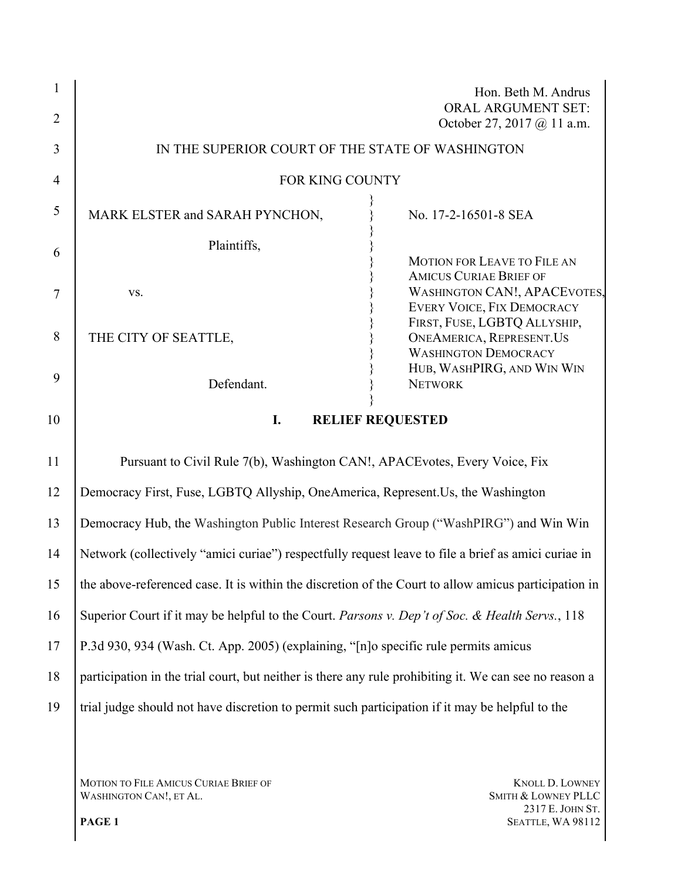| $\mathbf{1}$   |                                                                                                        | Hon. Beth M. Andrus<br><b>ORAL ARGUMENT SET:</b>                                                                                         |
|----------------|--------------------------------------------------------------------------------------------------------|------------------------------------------------------------------------------------------------------------------------------------------|
| $\overline{2}$ |                                                                                                        | October 27, 2017 @ 11 a.m.                                                                                                               |
| 3              | IN THE SUPERIOR COURT OF THE STATE OF WASHINGTON                                                       |                                                                                                                                          |
| $\overline{4}$ | FOR KING COUNTY                                                                                        |                                                                                                                                          |
| 5              | MARK ELSTER and SARAH PYNCHON,                                                                         | No. 17-2-16501-8 SEA                                                                                                                     |
| 6              | Plaintiffs,                                                                                            |                                                                                                                                          |
| $\overline{7}$ | VS.                                                                                                    | <b>MOTION FOR LEAVE TO FILE AN</b><br><b>AMICUS CURIAE BRIEF OF</b><br><b>WASHINGTON CAN!, APACEVOTES,</b><br>EVERY VOICE, FIX DEMOCRACY |
| 8              | THE CITY OF SEATTLE,                                                                                   | FIRST, FUSE, LGBTQ ALLYSHIP,<br><b>ONEAMERICA, REPRESENT.US</b><br><b>WASHINGTON DEMOCRACY</b>                                           |
| 9              | Defendant.                                                                                             | HUB, WASHPIRG, AND WIN WIN<br><b>NETWORK</b>                                                                                             |
| 10             | I.<br><b>RELIEF REQUESTED</b>                                                                          |                                                                                                                                          |
| 11             | Pursuant to Civil Rule 7(b), Washington CAN!, APACE votes, Every Voice, Fix                            |                                                                                                                                          |
| 12             | Democracy First, Fuse, LGBTQ Allyship, OneAmerica, Represent. Us, the Washington                       |                                                                                                                                          |
| 13             | Democracy Hub, the Washington Public Interest Research Group ("WashPIRG") and Win Win                  |                                                                                                                                          |
| 14             | Network (collectively "amici curiae") respectfully request leave to file a brief as amici curiae in    |                                                                                                                                          |
| 15             | the above-referenced case. It is within the discretion of the Court to allow amicus participation in   |                                                                                                                                          |
| 16             | Superior Court if it may be helpful to the Court. Parsons v. Dep't of Soc. & Health Servs., 118        |                                                                                                                                          |
| 17             | P.3d 930, 934 (Wash. Ct. App. 2005) (explaining, "[n]o specific rule permits amicus                    |                                                                                                                                          |
| 18             | participation in the trial court, but neither is there any rule prohibiting it. We can see no reason a |                                                                                                                                          |
| 19             | trial judge should not have discretion to permit such participation if it may be helpful to the        |                                                                                                                                          |
|                |                                                                                                        |                                                                                                                                          |

MOTION TO FILE AMICUS CURIAE BRIEF OF KNOLL D. LOWNEY KNOLL D. LOWNEY WASHINGTON CAN!, ET AL. SALLY BRIEF OF SMITH & LOWNEY PLLC WASHINGTON CAN!, ET AL.

2317 E. JOHN ST. **PAGE 1** SEATTLE, WA 98112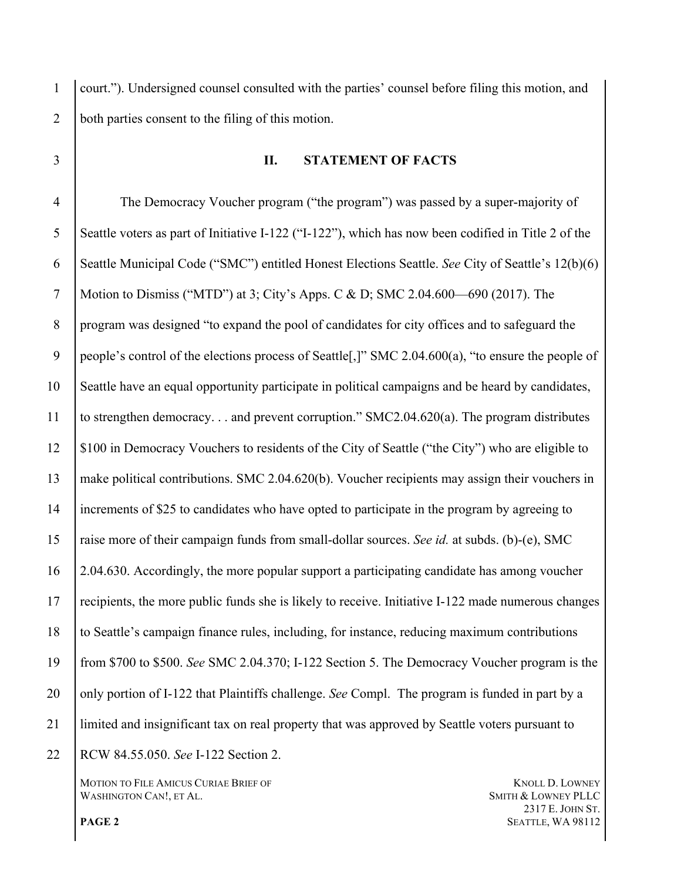court."). Undersigned counsel consulted with the parties' counsel before filing this motion, and both parties consent to the filing of this motion.

# **II. STATEMENT OF FACTS**  The Democracy Voucher program ("the program") was passed by a super-majority of Seattle voters as part of Initiative I-122 ("I-122"), which has now been codified in Title 2 of the Seattle Municipal Code ("SMC") entitled Honest Elections Seattle. *See* City of Seattle's 12(b)(6) Motion to Dismiss ("MTD") at 3; City's Apps. C & D; SMC 2.04.600—690 (2017). The program was designed "to expand the pool of candidates for city offices and to safeguard the

9 people's control of the elections process of Seattle[,]" SMC 2.04.600(a), "to ensure the people of Seattle have an equal opportunity participate in political campaigns and be heard by candidates, to strengthen democracy. . . and prevent corruption." SMC2.04.620(a). The program distributes \$100 in Democracy Vouchers to residents of the City of Seattle ("the City") who are eligible to make political contributions. SMC 2.04.620(b). Voucher recipients may assign their vouchers in

 increments of \$25 to candidates who have opted to participate in the program by agreeing to raise more of their campaign funds from small-dollar sources. *See id.* at subds. (b)-(e), SMC 2.04.630. Accordingly, the more popular support a participating candidate has among voucher recipients, the more public funds she is likely to receive. Initiative I-122 made numerous changes to Seattle's campaign finance rules, including, for instance, reducing maximum contributions from \$700 to \$500. *See* SMC 2.04.370; I-122 Section 5. The Democracy Voucher program is the 20 only portion of I-122 that Plaintiffs challenge. *See* Compl. The program is funded in part by a

limited and insignificant tax on real property that was approved by Seattle voters pursuant to

RCW 84.55.050. *See* I-122 Section 2.

MOTION TO FILE AMICUS CURIAE BRIEF OF **KNOLL D. LOWNEY** WASHINGTON CAN!, ET AL. SMITH & LOWNEY PLLC

 E. JOHN ST. **PAGE 2** SEATTLE, WA 98112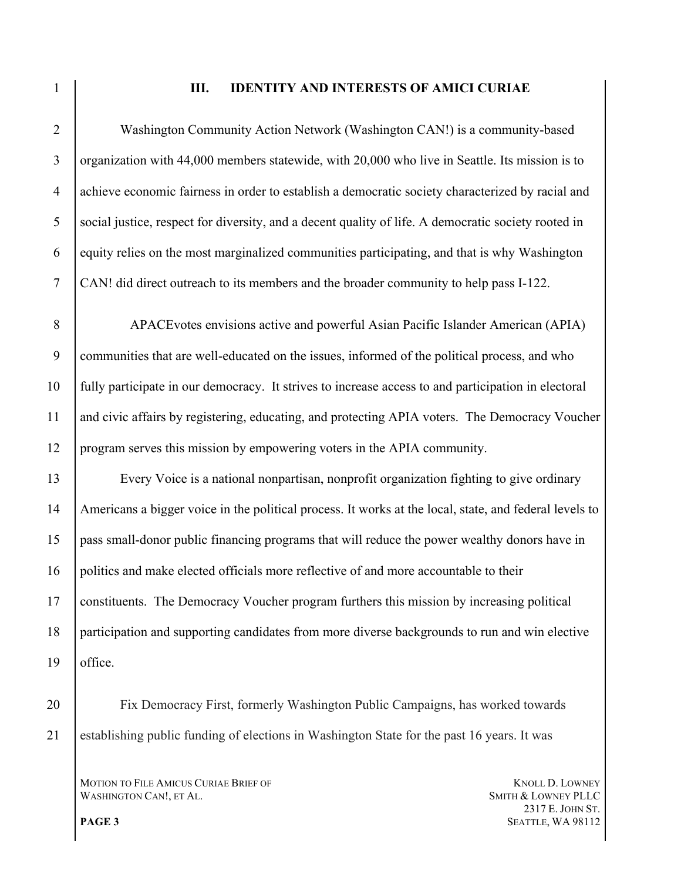### **III. IDENTITY AND INTERESTS OF AMICI CURIAE**

 Washington Community Action Network (Washington CAN!) is a community-based 3 organization with 44,000 members statewide, with 20,000 who live in Seattle. Its mission is to achieve economic fairness in order to establish a democratic society characterized by racial and social justice, respect for diversity, and a decent quality of life. A democratic society rooted in 6 equity relies on the most marginalized communities participating, and that is why Washington CAN! did direct outreach to its members and the broader community to help pass I-122.

 APACEvotes envisions active and powerful Asian Pacific Islander American (APIA) communities that are well-educated on the issues, informed of the political process, and who fully participate in our democracy. It strives to increase access to and participation in electoral and civic affairs by registering, educating, and protecting APIA voters. The Democracy Voucher program serves this mission by empowering voters in the APIA community.

 Every Voice is a national nonpartisan, nonprofit organization fighting to give ordinary Americans a bigger voice in the political process. It works at the local, state, and federal levels to pass small-donor public financing programs that will reduce the power wealthy donors have in politics and make elected officials more reflective of and more accountable to their constituents. The Democracy Voucher program furthers this mission by increasing political participation and supporting candidates from more diverse backgrounds to run and win elective office.

 Fix Democracy First, formerly Washington Public Campaigns, has worked towards establishing public funding of elections in Washington State for the past 16 years. It was

MOTION TO FILE AMICUS CURIAE BRIEF OF **KNOLL D. LOWNEY** WASHINGTON CAN!, ET AL. SMITH & LOWNEY PLLC

 E. JOHN ST. **PAGE 3** SEATTLE, WA 98112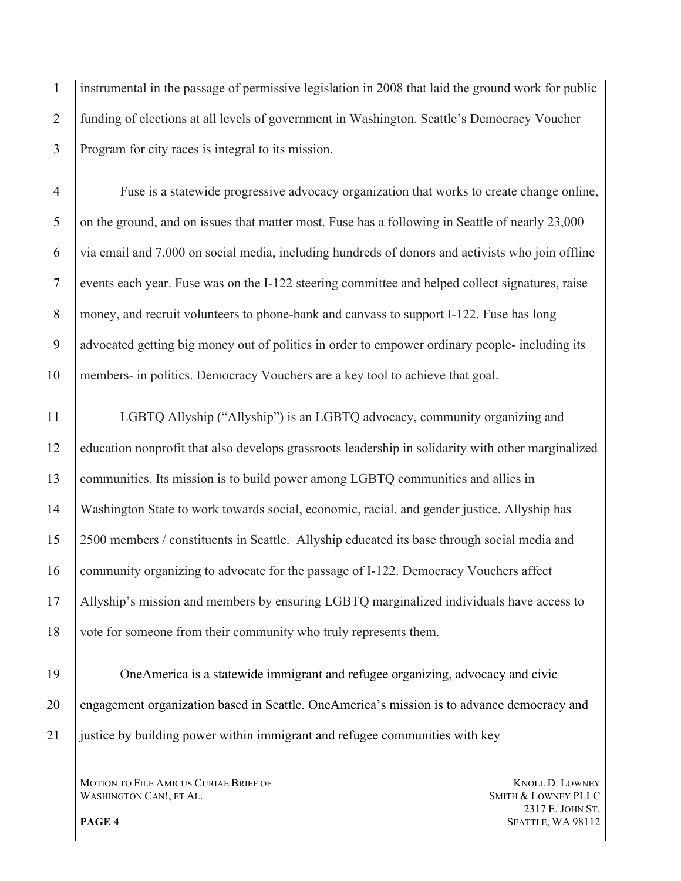instrumental in the passage of permissive legislation in 2008 that laid the ground work for public funding of elections at all levels of government in Washington. Seattle's Democracy Voucher Program for city races is integral to its mission.

 Fuse is a statewide progressive advocacy organization that works to create change online, 5 on the ground, and on issues that matter most. Fuse has a following in Seattle of nearly 23,000 via email and 7,000 on social media, including hundreds of donors and activists who join offline events each year. Fuse was on the I-122 steering committee and helped collect signatures, raise 8 money, and recruit volunteers to phone-bank and canvass to support I-122. Fuse has long advocated getting big money out of politics in order to empower ordinary people- including its members- in politics. Democracy Vouchers are a key tool to achieve that goal.

 LGBTQ Allyship ("Allyship") is an LGBTQ advocacy, community organizing and education nonprofit that also develops grassroots leadership in solidarity with other marginalized communities. Its mission is to build power among LGBTQ communities and allies in Washington State to work towards social, economic, racial, and gender justice. Allyship has 2500 members / constituents in Seattle. Allyship educated its base through social media and 16 community organizing to advocate for the passage of I-122. Democracy Vouchers affect Allyship's mission and members by ensuring LGBTQ marginalized individuals have access to vote for someone from their community who truly represents them.

 OneAmerica is a statewide immigrant and refugee organizing, advocacy and civic engagement organization based in Seattle. OneAmerica's mission is to advance democracy and justice by building power within immigrant and refugee communities with key

MOTION TO FILE AMICUS CURIAE BRIEF OF **KNOLL D. LOWNEY** WASHINGTON CAN!, ET AL. SMITH & LOWNEY PLLC

 E. JOHN ST. **PAGE 4** SEATTLE, WA 98112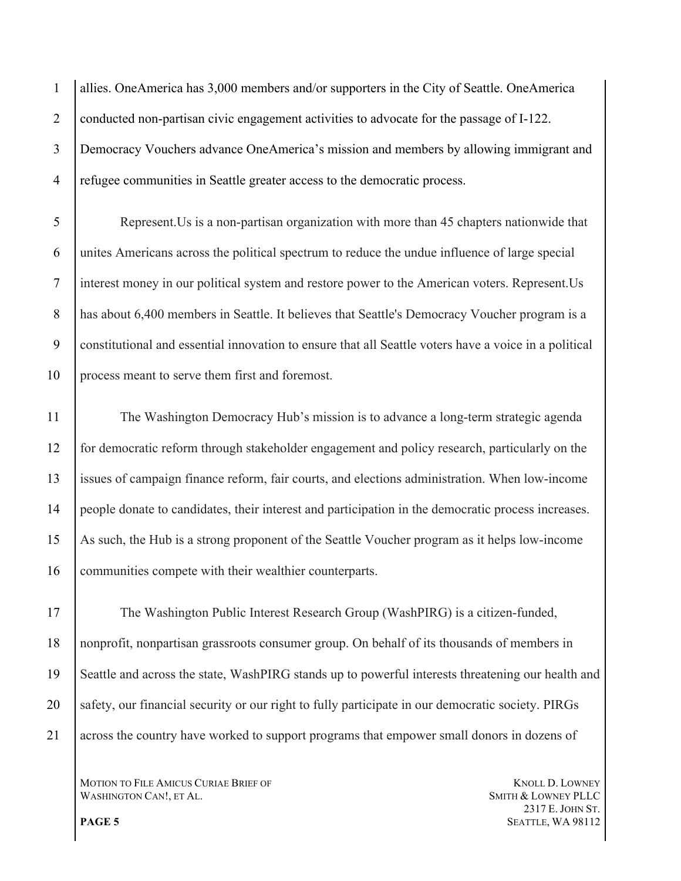allies. OneAmerica has 3,000 members and/or supporters in the City of Seattle. OneAmerica 2 conducted non-partisan civic engagement activities to advocate for the passage of I-122. Democracy Vouchers advance OneAmerica's mission and members by allowing immigrant and refugee communities in Seattle greater access to the democratic process.

 Represent.Us is a non-partisan organization with more than 45 chapters nationwide that unites Americans across the political spectrum to reduce the undue influence of large special interest money in our political system and restore power to the American voters. Represent.Us 8 has about 6,400 members in Seattle. It believes that Seattle's Democracy Voucher program is a constitutional and essential innovation to ensure that all Seattle voters have a voice in a political process meant to serve them first and foremost.

 The Washington Democracy Hub's mission is to advance a long-term strategic agenda for democratic reform through stakeholder engagement and policy research, particularly on the issues of campaign finance reform, fair courts, and elections administration. When low-income people donate to candidates, their interest and participation in the democratic process increases. As such, the Hub is a strong proponent of the Seattle Voucher program as it helps low-income communities compete with their wealthier counterparts.

 The Washington Public Interest Research Group (WashPIRG) is a citizen-funded, nonprofit, nonpartisan grassroots consumer group. On behalf of its thousands of members in Seattle and across the state, WashPIRG stands up to powerful interests threatening our health and 20 safety, our financial security or our right to fully participate in our democratic society. PIRGs across the country have worked to support programs that empower small donors in dozens of

MOTION TO FILE AMICUS CURIAE BRIEF OF **KNOLL D. LOWNEY** WASHINGTON CAN!, ET AL. SMITH & LOWNEY PLLC

 E. JOHN ST. **PAGE 5** SEATTLE, WA 98112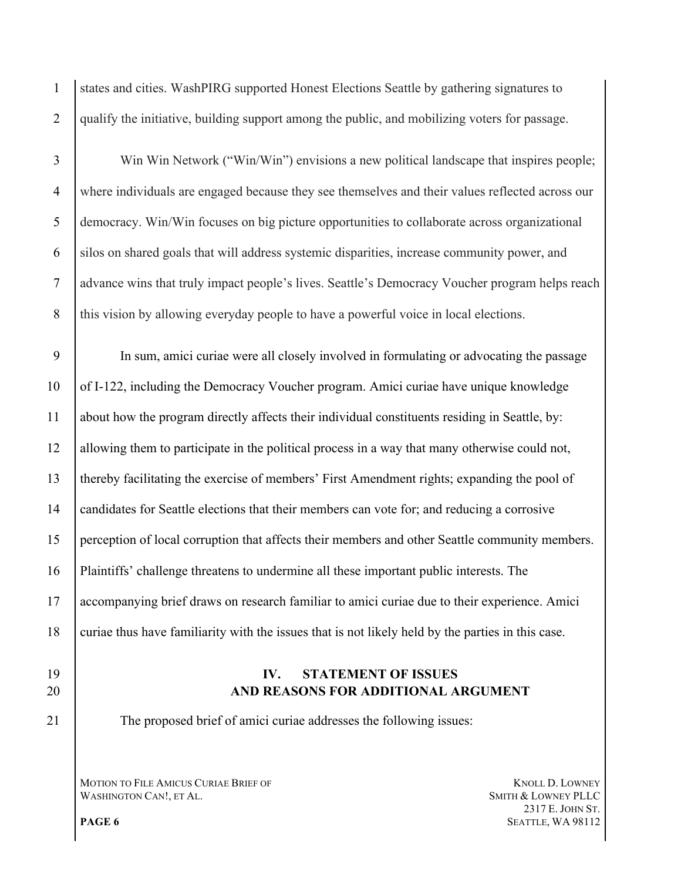states and cities. WashPIRG supported Honest Elections Seattle by gathering signatures to qualify the initiative, building support among the public, and mobilizing voters for passage.

 Win Win Network ("Win/Win") envisions a new political landscape that inspires people; where individuals are engaged because they see themselves and their values reflected across our democracy. Win/Win focuses on big picture opportunities to collaborate across organizational silos on shared goals that will address systemic disparities, increase community power, and advance wins that truly impact people's lives. Seattle's Democracy Voucher program helps reach 8 this vision by allowing everyday people to have a powerful voice in local elections.

 In sum, amici curiae were all closely involved in formulating or advocating the passage of I-122, including the Democracy Voucher program. Amici curiae have unique knowledge about how the program directly affects their individual constituents residing in Seattle, by: allowing them to participate in the political process in a way that many otherwise could not, thereby facilitating the exercise of members' First Amendment rights; expanding the pool of candidates for Seattle elections that their members can vote for; and reducing a corrosive perception of local corruption that affects their members and other Seattle community members. Plaintiffs' challenge threatens to undermine all these important public interests. The accompanying brief draws on research familiar to amici curiae due to their experience. Amici curiae thus have familiarity with the issues that is not likely held by the parties in this case.

- 
- 

# **IV. STATEMENT OF ISSUES AND REASONS FOR ADDITIONAL ARGUMENT**

The proposed brief of amici curiae addresses the following issues:

MOTION TO FILE AMICUS CURIAE BRIEF OF **KNOLL D. LOWNEY** WASHINGTON CAN!, ET AL. SMITH & LOWNEY PLLC

 E. JOHN ST. **PAGE 6** SEATTLE, WA 98112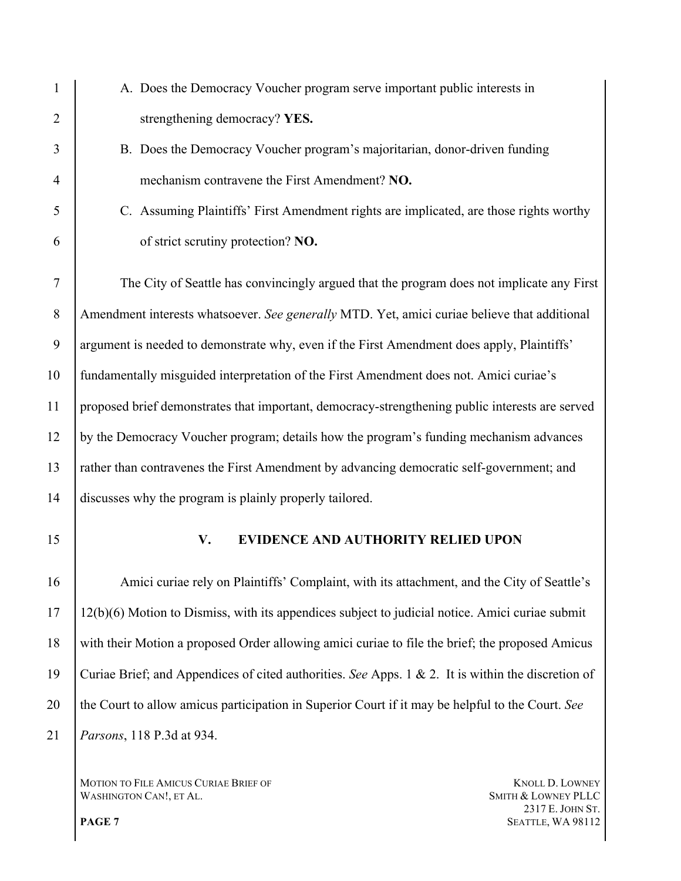| 1              | A. Does the Democracy Voucher program serve important public interests in                          |  |
|----------------|----------------------------------------------------------------------------------------------------|--|
| $\overline{2}$ | strengthening democracy? YES.                                                                      |  |
| 3              | B. Does the Democracy Voucher program's majoritarian, donor-driven funding                         |  |
| 4              | mechanism contravene the First Amendment? NO.                                                      |  |
| 5              | C. Assuming Plaintiffs' First Amendment rights are implicated, are those rights worthy             |  |
| 6              | of strict scrutiny protection? NO.                                                                 |  |
| $\tau$         | The City of Seattle has convincingly argued that the program does not implicate any First          |  |
| 8              | Amendment interests whatsoever. See generally MTD. Yet, amici curiae believe that additional       |  |
| 9              | argument is needed to demonstrate why, even if the First Amendment does apply, Plaintiffs'         |  |
| 10             | fundamentally misguided interpretation of the First Amendment does not. Amici curiae's             |  |
| 11             | proposed brief demonstrates that important, democracy-strengthening public interests are served    |  |
| 12             | by the Democracy Voucher program; details how the program's funding mechanism advances             |  |
| 13             | rather than contravenes the First Amendment by advancing democratic self-government; and           |  |
| 14             | discusses why the program is plainly properly tailored.                                            |  |
| 15             | <b>EVIDENCE AND AUTHORITY RELIED UPON</b><br>V.                                                    |  |
| 16             | Amici curiae rely on Plaintiffs' Complaint, with its attachment, and the City of Seattle's         |  |
| 17             | 12(b)(6) Motion to Dismiss, with its appendices subject to judicial notice. Amici curiae submit    |  |
| 18             | with their Motion a proposed Order allowing amici curiae to file the brief; the proposed Amicus    |  |
| 19             | Curiae Brief; and Appendices of cited authorities. See Apps. 1 & 2. It is within the discretion of |  |
| 20             | the Court to allow amicus participation in Superior Court if it may be helpful to the Court. See   |  |
| 21             | Parsons, 118 P.3d at 934.                                                                          |  |
|                |                                                                                                    |  |

MOTION TO FILE AMICUS CURIAE BRIEF OF KNOLL D. LOWNEY WASHINGTON CAN!, ET AL. And LOWNEY PLLC WASHINGTON CAN!, ET AL.

 E. JOHN ST. **PAGE 7** SEATTLE, WA 98112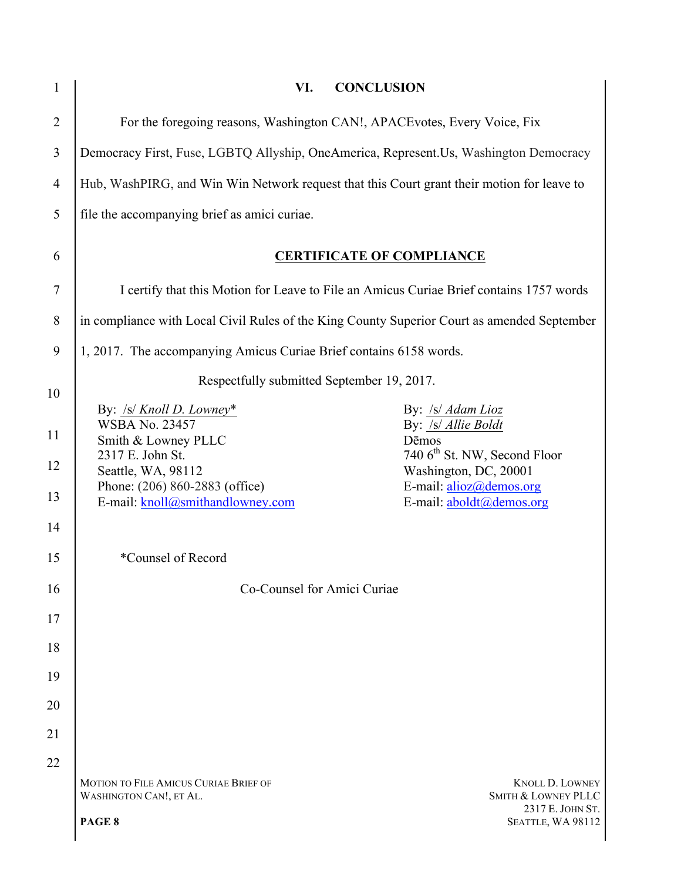| $\mathbf{1}$   | VI.<br><b>CONCLUSION</b>                                                                    |                                                                       |
|----------------|---------------------------------------------------------------------------------------------|-----------------------------------------------------------------------|
| $\overline{2}$ | For the foregoing reasons, Washington CAN!, APACE votes, Every Voice, Fix                   |                                                                       |
| 3              | Democracy First, Fuse, LGBTQ Allyship, OneAmerica, Represent. Us, Washington Democracy      |                                                                       |
| 4              | Hub, WashPIRG, and Win Win Network request that this Court grant their motion for leave to  |                                                                       |
| 5              | file the accompanying brief as amici curiae.                                                |                                                                       |
| 6              | <b>CERTIFICATE OF COMPLIANCE</b>                                                            |                                                                       |
| 7              | I certify that this Motion for Leave to File an Amicus Curiae Brief contains 1757 words     |                                                                       |
| 8              | in compliance with Local Civil Rules of the King County Superior Court as amended September |                                                                       |
| 9              | 1, 2017. The accompanying Amicus Curiae Brief contains 6158 words.                          |                                                                       |
| 10             | Respectfully submitted September 19, 2017.                                                  |                                                                       |
| 11             | By: $\sqrt{s}$ Knoll D. Lowney*<br><b>WSBA No. 23457</b><br>Smith & Lowney PLLC             | By: /s/ Adam Lioz<br>By: /s/ Allie Boldt<br>Dēmos                     |
| 12             | 2317 E. John St.<br>Seattle, WA, 98112                                                      | 740 6 <sup>th</sup> St. NW, Second Floor<br>Washington, DC, 20001     |
| 13             | Phone: (206) 860-2883 (office)<br>E-mail: knoll@smithandlowney.com                          | E-mail: $a\text{lioz}(\hat{a})$ demos.org<br>E-mail: aboldt@demos.org |
| 14             |                                                                                             |                                                                       |
| 15             | *Counsel of Record                                                                          |                                                                       |
| 16             | Co-Counsel for Amici Curiae                                                                 |                                                                       |
| 17             |                                                                                             |                                                                       |
| 18             |                                                                                             |                                                                       |
| 19             |                                                                                             |                                                                       |
| 20             |                                                                                             |                                                                       |
| 21<br>22       |                                                                                             |                                                                       |
|                | MOTION TO FILE AMICUS CURIAE BRIEF OF<br>WASHINGTON CAN!, ET AL.                            | <b>KNOLL D. LOWNEY</b><br>SMITH & LOWNEY PLLC                         |
|                | PAGE 8                                                                                      | 2317 E. JOHN ST.<br>SEATTLE, WA 98112                                 |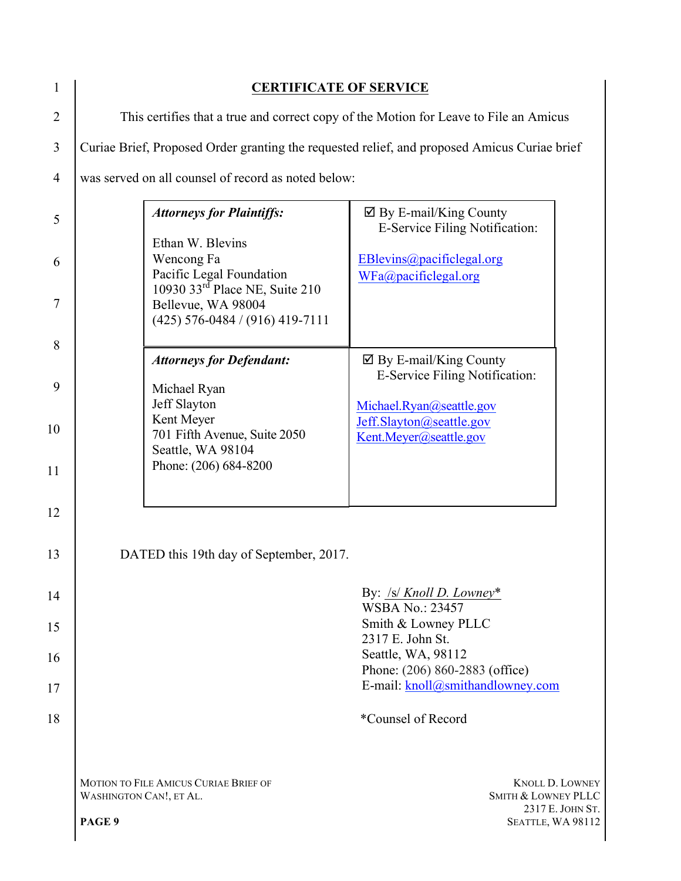| 1        | <b>CERTIFICATE OF SERVICE</b>                                                                |                                                                                                                                                 |                                                                                |
|----------|----------------------------------------------------------------------------------------------|-------------------------------------------------------------------------------------------------------------------------------------------------|--------------------------------------------------------------------------------|
| 2        | This certifies that a true and correct copy of the Motion for Leave to File an Amicus        |                                                                                                                                                 |                                                                                |
| 3        | Curiae Brief, Proposed Order granting the requested relief, and proposed Amicus Curiae brief |                                                                                                                                                 |                                                                                |
| 4        |                                                                                              | was served on all counsel of record as noted below:                                                                                             |                                                                                |
| 5        |                                                                                              | <b>Attorneys for Plaintiffs:</b><br>Ethan W. Blevins                                                                                            | $\boxtimes$ By E-mail/King County<br>E-Service Filing Notification:            |
| 6<br>7   |                                                                                              | Wencong Fa<br>Pacific Legal Foundation<br>10930 33 <sup>rd</sup> Place NE, Suite 210<br>Bellevue, WA 98004<br>$(425)$ 576-0484 / (916) 419-7111 | EBlevins@pacificlegal.org<br>WFa@pacifiedgal.org                               |
| 8        |                                                                                              | <b>Attorneys for Defendant:</b>                                                                                                                 | $\boxtimes$ By E-mail/King County<br>E-Service Filing Notification:            |
| 9<br>10  |                                                                                              | Michael Ryan<br>Jeff Slayton<br>Kent Meyer<br>701 Fifth Avenue, Suite 2050<br>Seattle, WA 98104                                                 | Michael.Ryan@seattle.gov<br>Jeff.Slayton@seattle.gov<br>Kent.Meyer@seattle.gov |
| 11<br>12 |                                                                                              | Phone: (206) 684-8200                                                                                                                           |                                                                                |
| 13       |                                                                                              | DATED this 19th day of September, 2017.                                                                                                         |                                                                                |
| 14       |                                                                                              |                                                                                                                                                 | By: $\frac{ S }{K}$ Knoll D. Lowney*<br><b>WSBA No.: 23457</b>                 |
| 15<br>16 |                                                                                              |                                                                                                                                                 | Smith & Lowney PLLC<br>2317 E. John St.<br>Seattle, WA, 98112                  |
| 17       |                                                                                              |                                                                                                                                                 | Phone: (206) 860-2883 (office)<br>E-mail: knoll@smithandlowney.com             |
| 18       |                                                                                              |                                                                                                                                                 | *Counsel of Record                                                             |
|          | WASHINGTON CAN!, ET AL.                                                                      | <b>MOTION TO FILE AMICUS CURIAE BRIEF OF</b>                                                                                                    | <b>KNOLL D. LOWNEY</b><br><b>SMITH &amp; LOWNEY PLLC</b><br>2317 E. JOHN ST.   |
|          | PAGE 9                                                                                       |                                                                                                                                                 | SEATTLE, WA 98112                                                              |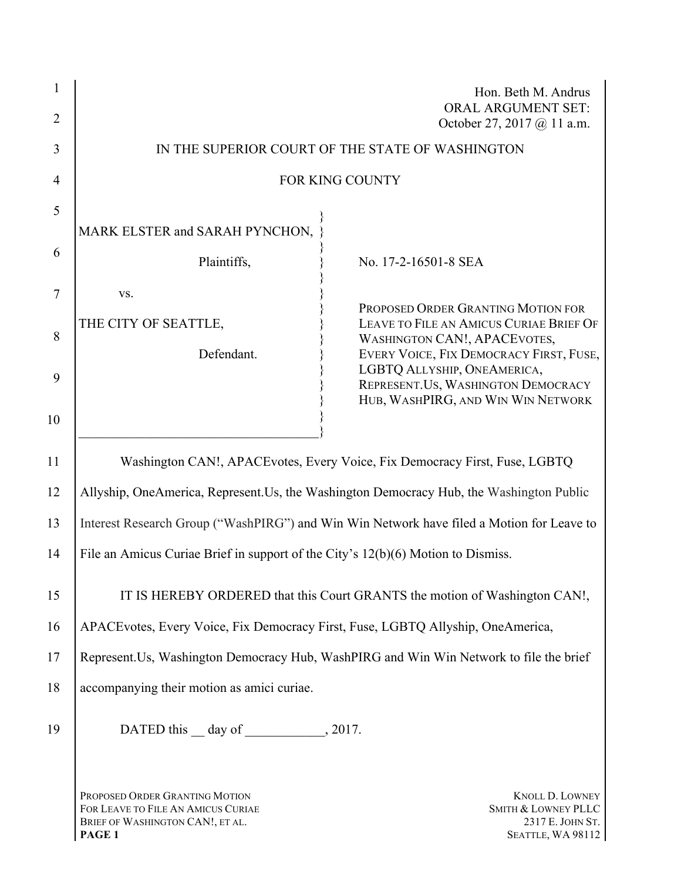| 2              |                                                                                                                    | Hon. Beth M. Andrus<br><b>ORAL ARGUMENT SET:</b><br>October 27, 2017 @ 11 a.m.                                                                                  |
|----------------|--------------------------------------------------------------------------------------------------------------------|-----------------------------------------------------------------------------------------------------------------------------------------------------------------|
| 3              |                                                                                                                    | IN THE SUPERIOR COURT OF THE STATE OF WASHINGTON                                                                                                                |
| $\overline{4}$ |                                                                                                                    | <b>FOR KING COUNTY</b>                                                                                                                                          |
| 5              | MARK ELSTER and SARAH PYNCHON,                                                                                     |                                                                                                                                                                 |
| 6              | Plaintiffs,                                                                                                        | No. 17-2-16501-8 SEA                                                                                                                                            |
| 7              | VS.                                                                                                                |                                                                                                                                                                 |
| 8              | THE CITY OF SEATTLE,<br>Defendant.                                                                                 | PROPOSED ORDER GRANTING MOTION FOR<br>LEAVE TO FILE AN AMICUS CURIAE BRIEF OF<br><b>WASHINGTON CAN!, APACEVOTES,</b><br>EVERY VOICE, FIX DEMOCRACY FIRST, FUSE, |
| 9              |                                                                                                                    | LGBTQ ALLYSHIP, ONEAMERICA,<br>REPRESENT.US, WASHINGTON DEMOCRACY<br>HUB, WASHPIRG, AND WIN WIN NETWORK                                                         |
| 10             |                                                                                                                    |                                                                                                                                                                 |
| 11             |                                                                                                                    | Washington CAN!, APACE votes, Every Voice, Fix Democracy First, Fuse, LGBTQ                                                                                     |
| 12             |                                                                                                                    | Allyship, OneAmerica, Represent.Us, the Washington Democracy Hub, the Washington Public                                                                         |
| 13             |                                                                                                                    | Interest Research Group ("WashPIRG") and Win Win Network have filed a Motion for Leave to                                                                       |
| 14             | File an Amicus Curiae Brief in support of the City's $12(b)(6)$ Motion to Dismiss.                                 |                                                                                                                                                                 |
| 15             | IT IS HEREBY ORDERED that this Court GRANTS the motion of Washington CAN!,                                         |                                                                                                                                                                 |
| 16             | APACE votes, Every Voice, Fix Democracy First, Fuse, LGBTQ Allyship, OneAmerica,                                   |                                                                                                                                                                 |
| 17             |                                                                                                                    | Represent. Us, Washington Democracy Hub, WashPIRG and Win Win Network to file the brief                                                                         |
| 18             | accompanying their motion as amici curiae.                                                                         |                                                                                                                                                                 |
| 19             | DATED this $\_\$ day of $\_\_\_\_$ , 2017.                                                                         |                                                                                                                                                                 |
|                | PROPOSED ORDER GRANTING MOTION<br>FOR LEAVE TO FILE AN AMICUS CURIAE<br>BRIEF OF WASHINGTON CAN!, ET AL.<br>PAGE 1 | <b>KNOLL D. LOWNEY</b><br>SMITH & LOWNEY PLLC<br>2317 E. JOHN ST.<br>SEATTLE, WA 98112                                                                          |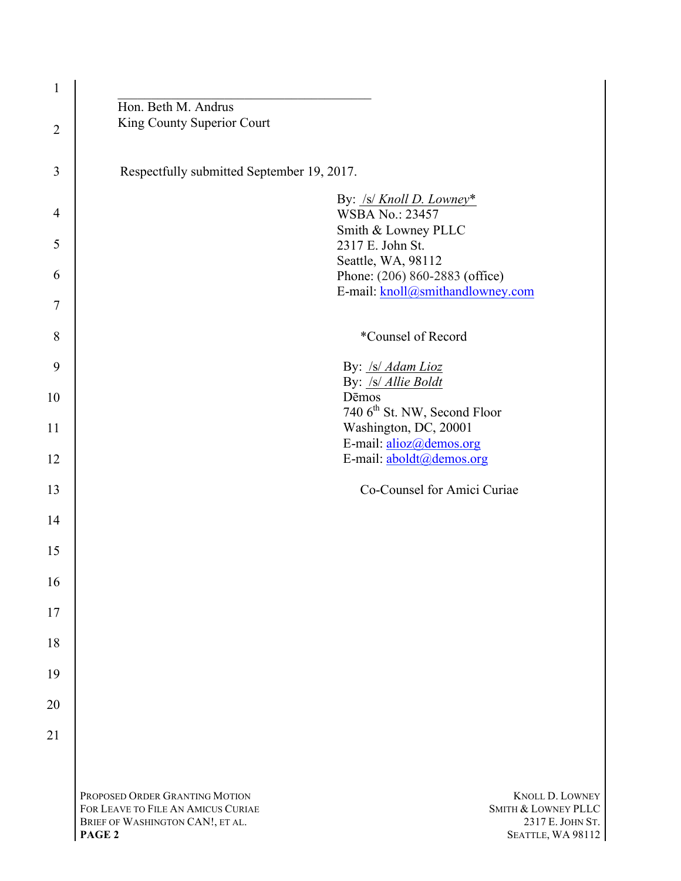| $\mathbf{1}$   |                                                                                                                                                                                                                                |
|----------------|--------------------------------------------------------------------------------------------------------------------------------------------------------------------------------------------------------------------------------|
| $\overline{2}$ | Hon. Beth M. Andrus<br>King County Superior Court                                                                                                                                                                              |
| 3              | Respectfully submitted September 19, 2017.                                                                                                                                                                                     |
| 4              | By: /s/ Knoll D. Lowney*<br><b>WSBA No.: 23457</b><br>Smith & Lowney PLLC                                                                                                                                                      |
| 5              | 2317 E. John St.                                                                                                                                                                                                               |
| 6              | Seattle, WA, 98112<br>Phone: (206) 860-2883 (office)                                                                                                                                                                           |
| 7              | E-mail: knoll@smithandlowney.com                                                                                                                                                                                               |
| 8              | *Counsel of Record                                                                                                                                                                                                             |
| 9              | By: /s/ Adam Lioz                                                                                                                                                                                                              |
| 10             | By: /s/ Allie Boldt<br>Dēmos<br>740 6 <sup>th</sup> St. NW, Second Floor                                                                                                                                                       |
| 11             | Washington, DC, 20001                                                                                                                                                                                                          |
| 12             | E-mail: alioz@demos.org<br>E-mail: aboldt@demos.org                                                                                                                                                                            |
| 13             | Co-Counsel for Amici Curiae                                                                                                                                                                                                    |
| 14             |                                                                                                                                                                                                                                |
| 15             |                                                                                                                                                                                                                                |
| 16             |                                                                                                                                                                                                                                |
| 17             |                                                                                                                                                                                                                                |
| 18             |                                                                                                                                                                                                                                |
| 19             |                                                                                                                                                                                                                                |
| 20             |                                                                                                                                                                                                                                |
| 21             |                                                                                                                                                                                                                                |
|                |                                                                                                                                                                                                                                |
|                | PROPOSED ORDER GRANTING MOTION<br><b>KNOLL D. LOWNEY</b><br>FOR LEAVE TO FILE AN AMICUS CURIAE<br>SMITH & LOWNEY PLLC<br>2317 E. JOHN ST.<br>BRIEF OF WASHINGTON CAN!, ET AL.<br>PAGE <sub>2</sub><br><b>SEATTLE, WA 98112</b> |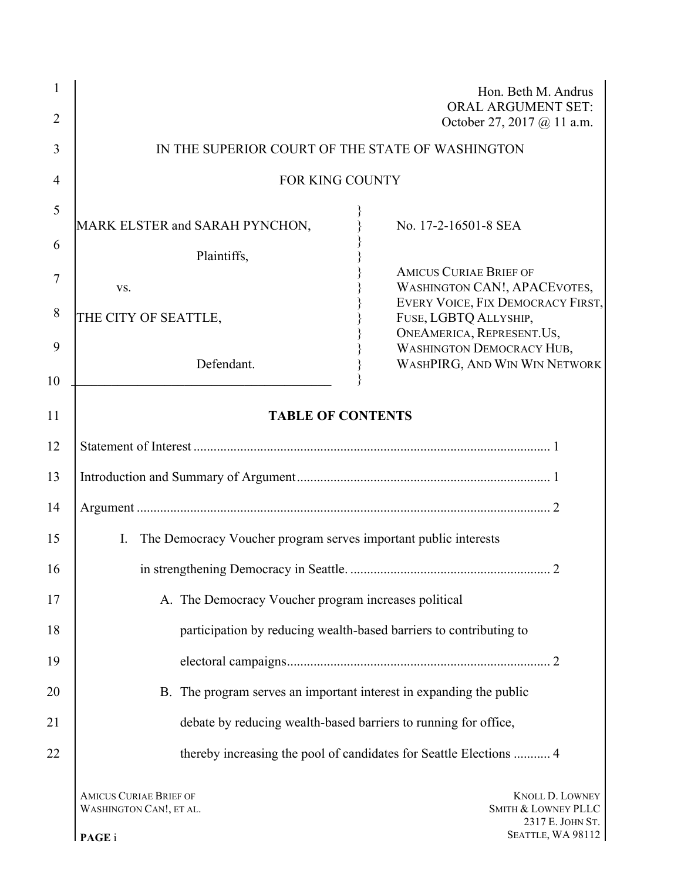| 1<br>$\overline{2}$ |                                                                                   | Hon. Beth M. Andrus<br><b>ORAL ARGUMENT SET:</b><br>October 27, 2017 @ 11 a.m. |
|---------------------|-----------------------------------------------------------------------------------|--------------------------------------------------------------------------------|
| 3                   | IN THE SUPERIOR COURT OF THE STATE OF WASHINGTON                                  |                                                                                |
| 4                   | <b>FOR KING COUNTY</b>                                                            |                                                                                |
| 5                   |                                                                                   |                                                                                |
|                     | MARK ELSTER and SARAH PYNCHON,                                                    | No. 17-2-16501-8 SEA                                                           |
| 6                   | Plaintiffs,                                                                       |                                                                                |
| 7                   |                                                                                   | <b>AMICUS CURIAE BRIEF OF</b>                                                  |
|                     | VS.                                                                               | <b>WASHINGTON CAN!, APACEVOTES,</b>                                            |
| 8                   |                                                                                   | EVERY VOICE, FIX DEMOCRACY FIRST,                                              |
|                     | THE CITY OF SEATTLE,                                                              | FUSE, LGBTQ ALLYSHIP,                                                          |
|                     |                                                                                   | ONEAMERICA, REPRESENT.US,                                                      |
| 9                   |                                                                                   | <b>WASHINGTON DEMOCRACY HUB,</b>                                               |
|                     | Defendant.                                                                        | WASHPIRG, AND WIN WIN NETWORK                                                  |
| 10<br>11            | <b>TABLE OF CONTENTS</b>                                                          |                                                                                |
|                     |                                                                                   |                                                                                |
| 12                  |                                                                                   |                                                                                |
| 13                  |                                                                                   |                                                                                |
| 14                  |                                                                                   |                                                                                |
| 15                  | The Democracy Voucher program serves important public interests<br>$\mathbf{I}$ . |                                                                                |
| 16                  |                                                                                   |                                                                                |
| 17                  |                                                                                   |                                                                                |
|                     | A. The Democracy Voucher program increases political                              |                                                                                |
| 18                  | participation by reducing wealth-based barriers to contributing to                |                                                                                |
| 19                  |                                                                                   |                                                                                |
| 20                  | B. The program serves an important interest in expanding the public               |                                                                                |
| 21                  | debate by reducing wealth-based barriers to running for office,                   |                                                                                |
| 22                  |                                                                                   | thereby increasing the pool of candidates for Seattle Elections  4             |
|                     | <b>AMICUS CURIAE BRIEF OF</b><br>WASHINGTON CAN!, ET AL.                          | KNOLL D. LOWNEY<br>SMITH & LOWNEY PLLC<br>2317 E. JOHN ST.                     |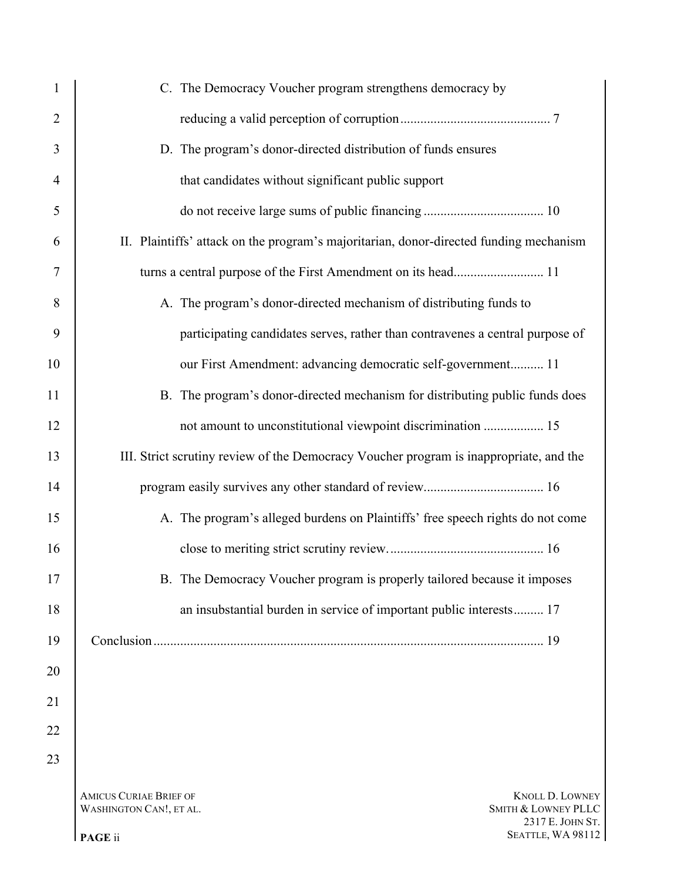| 1              | C. The Democracy Voucher program strengthens democracy by                                                                     |  |
|----------------|-------------------------------------------------------------------------------------------------------------------------------|--|
| $\overline{2}$ |                                                                                                                               |  |
| 3              | D. The program's donor-directed distribution of funds ensures                                                                 |  |
| $\overline{4}$ | that candidates without significant public support                                                                            |  |
| 5              |                                                                                                                               |  |
| 6              | II. Plaintiffs' attack on the program's majoritarian, donor-directed funding mechanism                                        |  |
| 7              |                                                                                                                               |  |
| 8              | A. The program's donor-directed mechanism of distributing funds to                                                            |  |
| 9              | participating candidates serves, rather than contravenes a central purpose of                                                 |  |
| 10             | our First Amendment: advancing democratic self-government 11                                                                  |  |
| 11             | B. The program's donor-directed mechanism for distributing public funds does                                                  |  |
| 12             | not amount to unconstitutional viewpoint discrimination  15                                                                   |  |
| 13             | III. Strict scrutiny review of the Democracy Voucher program is inappropriate, and the                                        |  |
| 14             |                                                                                                                               |  |
| 15             | A. The program's alleged burdens on Plaintiffs' free speech rights do not come                                                |  |
| 16             |                                                                                                                               |  |
| 17             | B. The Democracy Voucher program is properly tailored because it imposes                                                      |  |
| 18             | an insubstantial burden in service of important public interests 17                                                           |  |
| 19             |                                                                                                                               |  |
| 20             |                                                                                                                               |  |
| 21             |                                                                                                                               |  |
| 22             |                                                                                                                               |  |
| 23             |                                                                                                                               |  |
|                | <b>AMICUS CURIAE BRIEF OF</b><br><b>KNOLL D. LOWNEY</b><br>SMITH & LOWNEY PLLC<br>WASHINGTON CAN!, ET AL.<br>$2317 F$ JOHN ST |  |

 E. JOHN ST. **PAGE** ii SEATTLE, WA 98112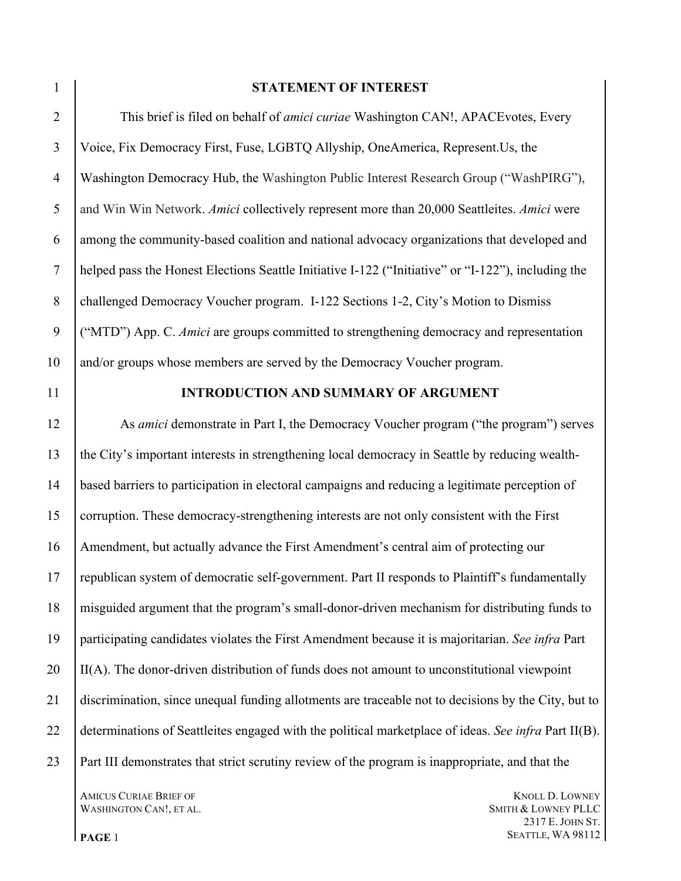### **STATEMENT OF INTEREST**

 This brief is filed on behalf of *amici curiae* Washington CAN!, APACEvotes, Every Voice, Fix Democracy First, Fuse, LGBTQ Allyship, OneAmerica, Represent.Us, the Washington Democracy Hub, the Washington Public Interest Research Group ("WashPIRG"), and Win Win Network. *Amici* collectively represent more than 20,000 Seattleites. *Amici* were among the community-based coalition and national advocacy organizations that developed and helped pass the Honest Elections Seattle Initiative I-122 ("Initiative" or "I-122"), including the challenged Democracy Voucher program. I-122 Sections 1-2, City's Motion to Dismiss ("MTD") App. C. *Amici* are groups committed to strengthening democracy and representation and/or groups whose members are served by the Democracy Voucher program.

### **INTRODUCTION AND SUMMARY OF ARGUMENT**

 As *amici* demonstrate in Part I, the Democracy Voucher program ("the program") serves the City's important interests in strengthening local democracy in Seattle by reducing wealth- based barriers to participation in electoral campaigns and reducing a legitimate perception of corruption. These democracy-strengthening interests are not only consistent with the First Amendment, but actually advance the First Amendment's central aim of protecting our republican system of democratic self-government. Part II responds to Plaintiff's fundamentally misguided argument that the program's small-donor-driven mechanism for distributing funds to participating candidates violates the First Amendment because it is majoritarian. *See infra* Part II(A). The donor-driven distribution of funds does not amount to unconstitutional viewpoint discrimination, since unequal funding allotments are traceable not to decisions by the City, but to determinations of Seattleites engaged with the political marketplace of ideas. *See infra* Part II(B). Part III demonstrates that strict scrutiny review of the program is inappropriate, and that the

WASHINGTON CAN!, ET AL. SMITH & LOWNEY PLLC

**AMICUS CURIAE BRIEF OF KNOLL D. LOWNEY**  E. JOHN ST. **PAGE** 1 **SEATTLE, WA 98112**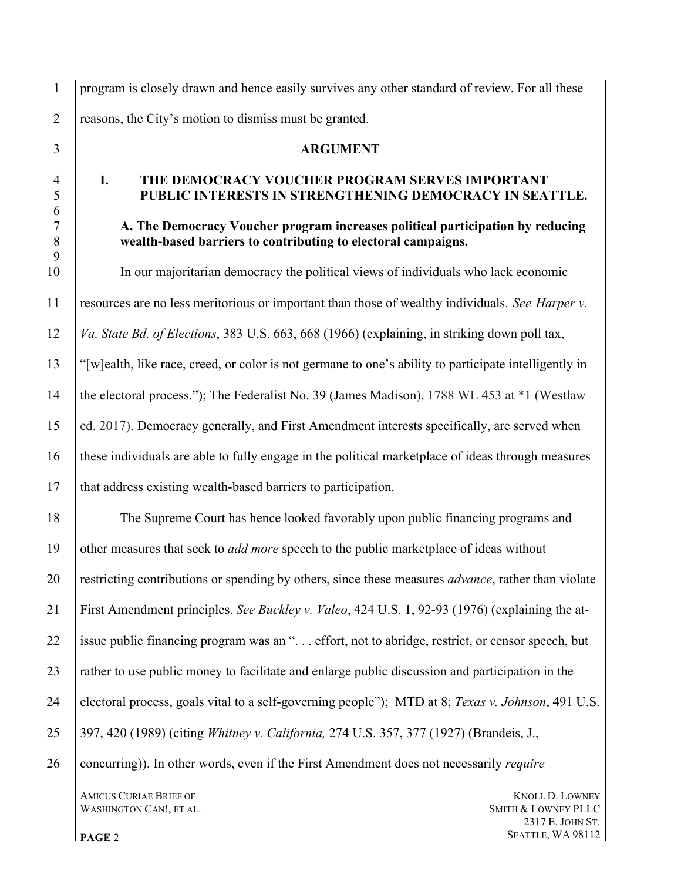program is closely drawn and hence easily survives any other standard of review. For all these 2 reasons, the City's motion to dismiss must be granted.

### **ARGUMENT**

### **I. THE DEMOCRACY VOUCHER PROGRAM SERVES IMPORTANT PUBLIC INTERESTS IN STRENGTHENING DEMOCRACY IN SEATTLE.**

# **A. The Democracy Voucher program increases political participation by reducing wealth-based barriers to contributing to electoral campaigns.**

 In our majoritarian democracy the political views of individuals who lack economic resources are no less meritorious or important than those of wealthy individuals. *See Harper v. Va. State Bd. of Elections*, 383 U.S. 663, 668 (1966) (explaining, in striking down poll tax, "[w]ealth, like race, creed, or color is not germane to one's ability to participate intelligently in the electoral process."); The Federalist No. 39 (James Madison), 1788 WL 453 at \*1 (Westlaw ed. 2017). Democracy generally, and First Amendment interests specifically, are served when these individuals are able to fully engage in the political marketplace of ideas through measures that address existing wealth-based barriers to participation.

 The Supreme Court has hence looked favorably upon public financing programs and other measures that seek to *add more* speech to the public marketplace of ideas without restricting contributions or spending by others, since these measures *advance*, rather than violate First Amendment principles. *See Buckley v. Valeo*, 424 U.S. 1, 92-93 (1976) (explaining the at- issue public financing program was an ". . . effort, not to abridge, restrict, or censor speech, but 23 rather to use public money to facilitate and enlarge public discussion and participation in the electoral process, goals vital to a self-governing people"); MTD at 8; *Texas v. Johnson*, 491 U.S. 397, 420 (1989) (citing *Whitney v. California,* 274 U.S. 357, 377 (1927) (Brandeis, J., concurring)). In other words, even if the First Amendment does not necessarily *require*

**AMICUS CURIAE BRIEF OF THE CONSUMING STATE OF THE CONSUMING STATE OF THE CONSUMING STATE OF THE CONSUMING STATE OF THE CONSUMING STATE OF THE CONSUMING STATE OF THE CONSUMING STATE OF THE CONSUMING STATE OF THE CONSUMING** WASHINGTON CAN!, ET AL. SMITH & LOWNEY PLLC

 E. JOHN ST. **PAGE** 2 **SEATTLE, WA 98112**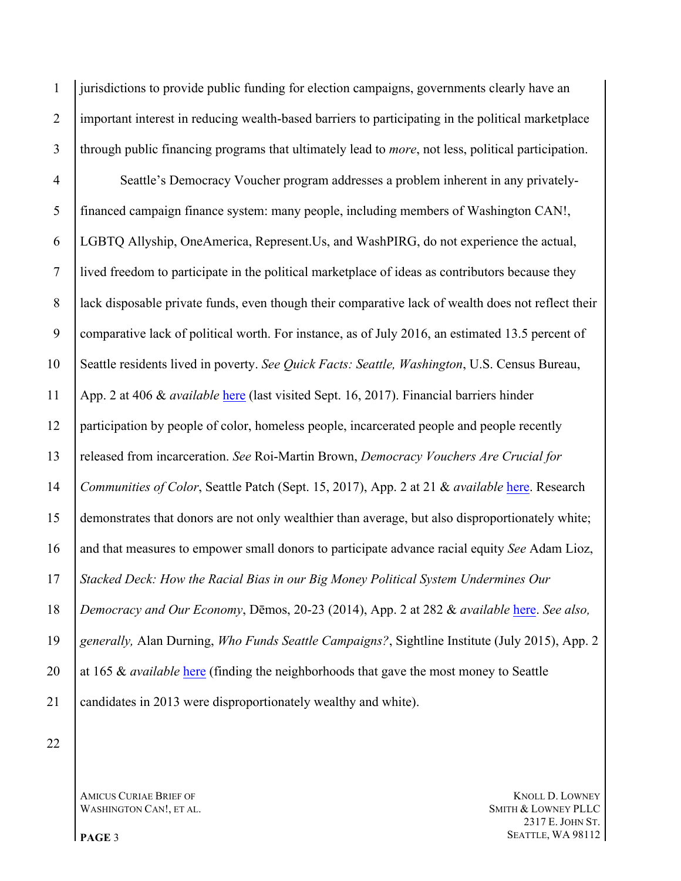jurisdictions to provide public funding for election campaigns, governments clearly have an important interest in reducing wealth-based barriers to participating in the political marketplace through public financing programs that ultimately lead to *more*, not less, political participation.

 Seattle's Democracy Voucher program addresses a problem inherent in any privately- financed campaign finance system: many people, including members of Washington CAN!, LGBTQ Allyship, OneAmerica, Represent.Us, and WashPIRG, do not experience the actual, lived freedom to participate in the political marketplace of ideas as contributors because they lack disposable private funds, even though their comparative lack of wealth does not reflect their comparative lack of political worth. For instance, as of July 2016, an estimated 13.5 percent of Seattle residents lived in poverty. *See Quick Facts: Seattle, Washington*, U.S. Census Bureau, App. 2 at 406 & *available* [here](https://www.census.gov/quickfacts/fact/table/seattlecitywashington/PST045216) (last visited Sept. 16, 2017). Financial barriers hinder participation by people of color, homeless people, incarcerated people and people recently released from incarceration. *See* Roi-Martin Brown, *Democracy Vouchers Are Crucial for Communities of Color*, Seattle Patch (Sept. 15, 2017), App. 2 at 21 & *available* [here](https://patch.com/washington/seattle/democracy-vouchers-are-crucial-communitites-color). Research demonstrates that donors are not only wealthier than average, but also disproportionately white; and that measures to empower small donors to participate advance racial equity *See* Adam Lioz, *Stacked Deck: How the Racial Bias in our Big Money Political System Undermines Our Democracy and Our Economy*, Dēmos, 20-23 (2014), App. 2 at 282 & *available* [here](http://www.demos.org/sites/default/files/publications/StackedDeck2_1.pdf). *See also, generally,* Alan Durning, *Who Funds Seattle Campaigns?*, Sightline Institute (July 2015), App. 2 20 at 165 & *available* [here](http://www.sightline.org/research_item/who-funds-seattles-political-candidates/) (finding the neighborhoods that gave the most money to Seattle candidates in 2013 were disproportionately wealthy and white).

WASHINGTON CAN!, ET AL. SMITH & LOWNEY PLLC

**AMICUS CURIAE BRIEF OF KNOLL D. LOWNEY**  E. JOHN ST. **PAGE** 3 **SEATTLE, WA 98112**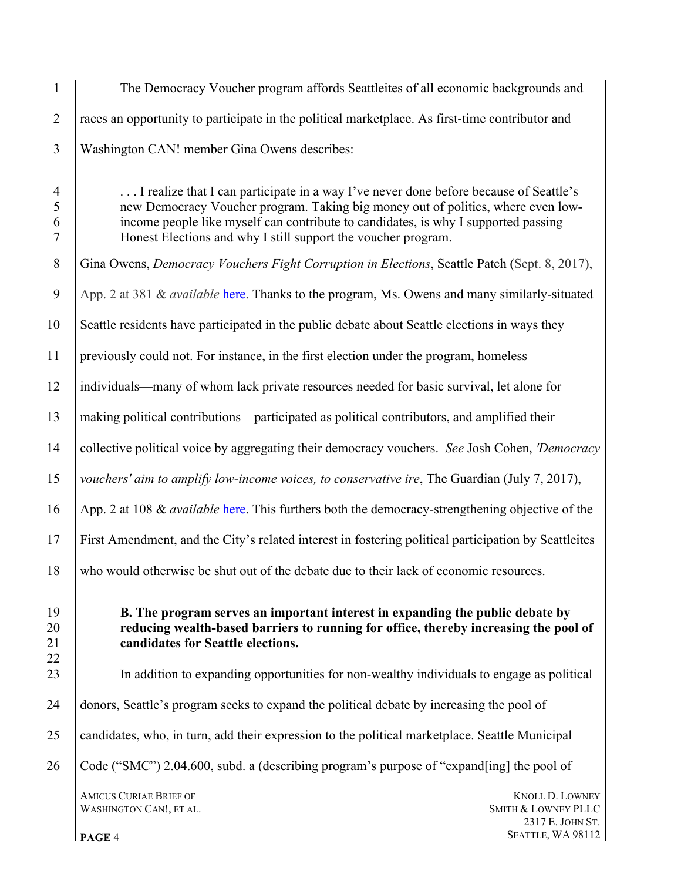| $\mathbf{1}$                               | The Democracy Voucher program affords Seattleites of all economic backgrounds and                                                                                                                                                                                                                                                |
|--------------------------------------------|----------------------------------------------------------------------------------------------------------------------------------------------------------------------------------------------------------------------------------------------------------------------------------------------------------------------------------|
| $\overline{2}$                             | races an opportunity to participate in the political marketplace. As first-time contributor and                                                                                                                                                                                                                                  |
| $\overline{3}$                             | Washington CAN! member Gina Owens describes:                                                                                                                                                                                                                                                                                     |
| $\overline{4}$<br>5<br>6<br>$\overline{7}$ | I realize that I can participate in a way I've never done before because of Seattle's<br>new Democracy Voucher program. Taking big money out of politics, where even low-<br>income people like myself can contribute to candidates, is why I supported passing<br>Honest Elections and why I still support the voucher program. |
| 8                                          | Gina Owens, Democracy Vouchers Fight Corruption in Elections, Seattle Patch (Sept. 8, 2017),                                                                                                                                                                                                                                     |
| 9                                          | App. 2 at 381 & <i>available</i> here. Thanks to the program, Ms. Owens and many similarly-situated                                                                                                                                                                                                                              |
| 10                                         | Seattle residents have participated in the public debate about Seattle elections in ways they                                                                                                                                                                                                                                    |
| 11                                         | previously could not. For instance, in the first election under the program, homeless                                                                                                                                                                                                                                            |
| 12                                         | individuals—many of whom lack private resources needed for basic survival, let alone for                                                                                                                                                                                                                                         |
| 13                                         | making political contributions—participated as political contributors, and amplified their                                                                                                                                                                                                                                       |
| 14                                         | collective political voice by aggregating their democracy vouchers. See Josh Cohen, 'Democracy                                                                                                                                                                                                                                   |
| 15                                         | vouchers' aim to amplify low-income voices, to conservative ire, The Guardian (July 7, 2017),                                                                                                                                                                                                                                    |
| 16                                         | App. 2 at 108 & <i>available</i> here. This furthers both the democracy-strengthening objective of the                                                                                                                                                                                                                           |
| 17                                         | First Amendment, and the City's related interest in fostering political participation by Seattleites                                                                                                                                                                                                                             |
| 18                                         | who would otherwise be shut out of the debate due to their lack of economic resources.                                                                                                                                                                                                                                           |
| 19<br>20<br>21<br>22                       | <b>B.</b> The program serves an important interest in expanding the public debate by<br>reducing wealth-based barriers to running for office, thereby increasing the pool of<br>candidates for Seattle elections.                                                                                                                |
| 23                                         | In addition to expanding opportunities for non-wealthy individuals to engage as political                                                                                                                                                                                                                                        |
| 24                                         | donors, Seattle's program seeks to expand the political debate by increasing the pool of                                                                                                                                                                                                                                         |
| 25                                         | candidates, who, in turn, add their expression to the political marketplace. Seattle Municipal                                                                                                                                                                                                                                   |
| 26                                         | Code ("SMC") 2.04.600, subd. a (describing program's purpose of "expand[ing] the pool of                                                                                                                                                                                                                                         |
|                                            | <b>AMICUS CURIAE BRIEF OF</b><br><b>KNOLL D. LOWNEY</b><br>SMITH & LOWNEY PLLC<br>WASHINGTON CAN!, ET AL.<br>2317 E. JOHN ST.<br>SEATTLE, WA 98112<br>PAGE 4                                                                                                                                                                     |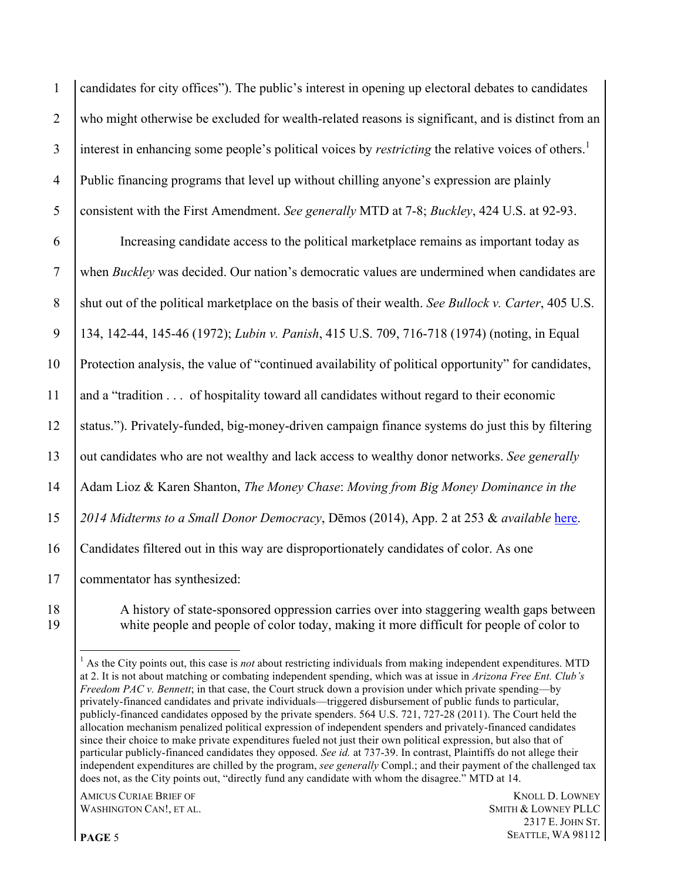candidates for city offices"). The public's interest in opening up electoral debates to candidates who might otherwise be excluded for wealth-related reasons is significant, and is distinct from an interest in enhancing some people's political voices by *restricting* the relative voices of others.<sup>1</sup> Public financing programs that level up without chilling anyone's expression are plainly consistent with the First Amendment. *See generally* MTD at 7-8; *Buckley*, 424 U.S. at 92-93.

 Increasing candidate access to the political marketplace remains as important today as when *Buckley* was decided. Our nation's democratic values are undermined when candidates are shut out of the political marketplace on the basis of their wealth. *See Bullock v. Carter*, 405 U.S. 134, 142-44, 145-46 (1972); *Lubin v. Panish*, 415 U.S. 709, 716-718 (1974) (noting, in Equal Protection analysis, the value of "continued availability of political opportunity" for candidates, and a "tradition . . . of hospitality toward all candidates without regard to their economic status."). Privately-funded, big-money-driven campaign finance systems do just this by filtering out candidates who are not wealthy and lack access to wealthy donor networks. *See generally* Adam Lioz & Karen Shanton, *The Money Chase*: *Moving from Big Money Dominance in the 2014 Midterms to a Small Donor Democracy*, Dēmos (2014), App. 2 at 253 & *available* [here](http://www.demos.org/sites/default/files/publications/TheMoneyChase-Report_0.pdf). Candidates filtered out in this way are disproportionately candidates of color. As one commentator has synthesized:

 A history of state-sponsored oppression carries over into staggering wealth gaps between white people and people of color today, making it more difficult for people of color to

**AMICUS CURIAE BRIEF OF KNOLL D. LOWNEY** WASHINGTON CAN!, ET AL. SMITH & LOWNEY PLLC

<sup>&</sup>lt;sup>1</sup> As the City points out, this case is *not* about restricting individuals from making independent expenditures. MTD at 2. It is not about matching or combating independent spending, which was at issue in *Arizona Free Ent. Club's Freedom PAC v. Bennett*; in that case, the Court struck down a provision under which private spending—by privately-financed candidates and private individuals—triggered disbursement of public funds to particular, publicly-financed candidates opposed by the private spenders. 564 U.S. 721, 727-28 (2011). The Court held the allocation mechanism penalized political expression of independent spenders and privately-financed candidates since their choice to make private expenditures fueled not just their own political expression, but also that of particular publicly-financed candidates they opposed. *See id.* at 737-39. In contrast, Plaintiffs do not allege their independent expenditures are chilled by the program, *see generally* Compl.; and their payment of the challenged tax does not, as the City points out, "directly fund any candidate with whom the disagree." MTD at 14.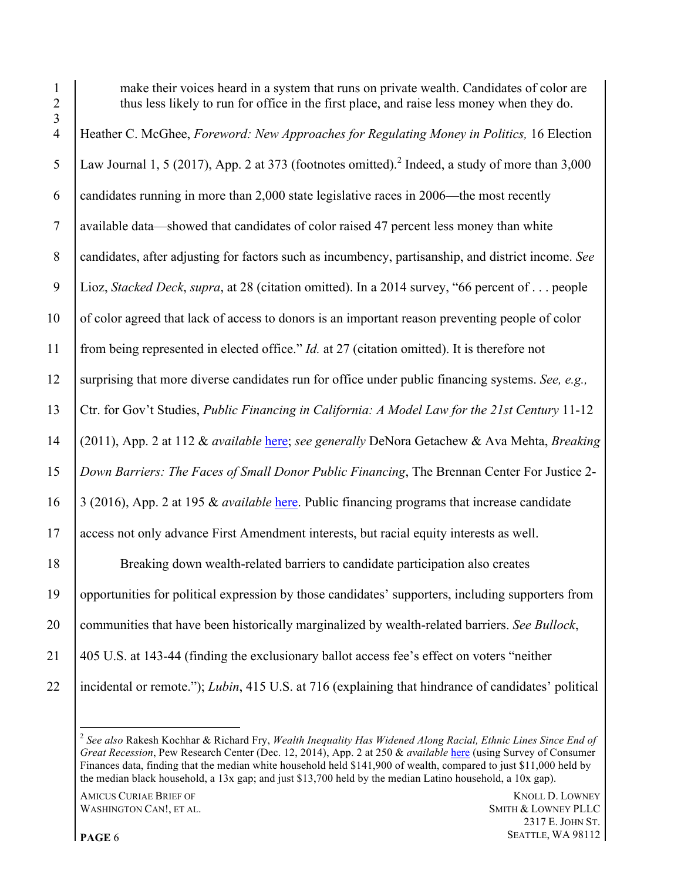1 make their voices heard in a system that runs on private wealth. Candidates of color are 2 thus less likely to run for office in the first place, and raise less money when they do. Heather C. McGhee, *Foreword: New Approaches for Regulating Money in Politics,* 16 Election 5 Law Journal 1, 5 (2017), App. 2 at 373 (footnotes omitted).<sup>2</sup> Indeed, a study of more than 3,000 6 candidates running in more than  $2,000$  state legislative races in 2006—the most recently available data—showed that candidates of color raised 47 percent less money than white candidates, after adjusting for factors such as incumbency, partisanship, and district income. *See*  Lioz, *Stacked Deck*, *supra*, at 28 (citation omitted). In a 2014 survey, "66 percent of . . . people of color agreed that lack of access to donors is an important reason preventing people of color from being represented in elected office." *Id.* at 27 (citation omitted). It is therefore not surprising that more diverse candidates run for office under public financing systems. *See, e.g.,*  Ctr. for Gov't Studies, *Public Financing in California: A Model Law for the 21st Century* 11-12 (2011), App. 2 at 112 & *available* [here](http://www.ilcampaign.org/wp-content/uploads/2014/07/CGS-Model-Hybrid-Matching-System.pdf); *see generally* DeNora Getachew & Ava Mehta, *Breaking Down Barriers: The Faces of Small Donor Public Financing*, The Brennan Center For Justice 2- 3 (2016), App. 2 at 195 & *available* [here.](https://www.brennancenter.org/publication/breaking-down-barriers-faces-small-donor-public-financing) Public financing programs that increase candidate access not only advance First Amendment interests, but racial equity interests as well. Breaking down wealth-related barriers to candidate participation also creates opportunities for political expression by those candidates' supporters, including supporters from communities that have been historically marginalized by wealth-related barriers. *See Bullock*, 405 U.S. at 143-44 (finding the exclusionary ballot access fee's effect on voters "neither incidental or remote."); *Lubin*, 415 U.S. at 716 (explaining that hindrance of candidates' political

WASHINGTON CAN!, ET AL. SMITH & LOWNEY PLLC

 *See also* Rakesh Kochhar & Richard Fry, *Wealth Inequality Has Widened Along Racial, Ethnic Lines Since End of Great Recession*, Pew Research Center (Dec. 12, 2014), App. 2 at 250 & *available* here (using Survey of Consumer Finances data, finding that the median white household held \$141,900 of wealth, compared to just \$11,000 held by the median black household, a 13x gap; and just \$13,700 held by the median Latino household, a 10x gap).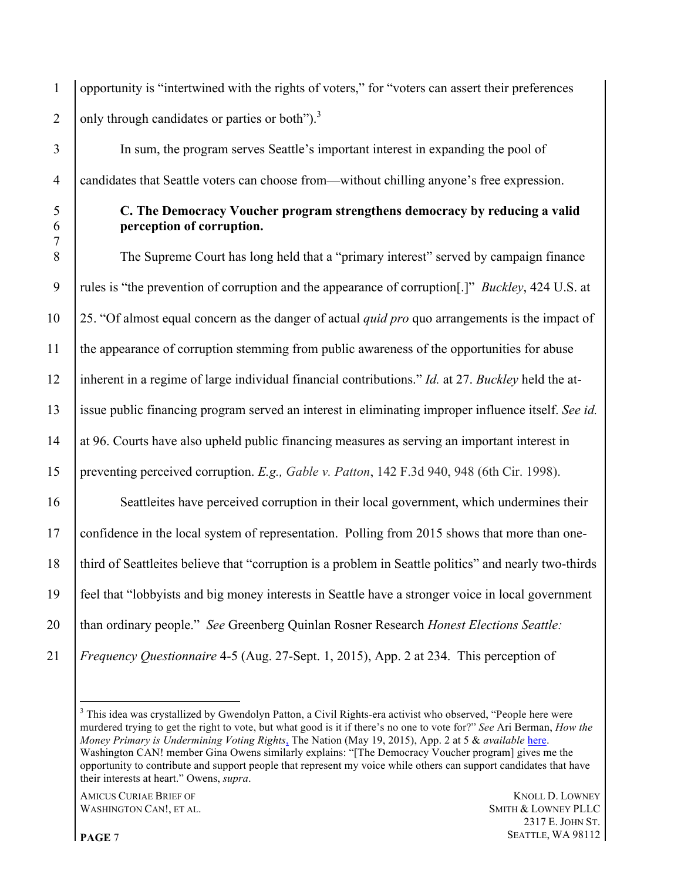opportunity is "intertwined with the rights of voters," for "voters can assert their preferences 2  $\int$  only through candidates or parties or both").<sup>3</sup>

 In sum, the program serves Seattle's important interest in expanding the pool of candidates that Seattle voters can choose from—without chilling anyone's free expression.

### **C. The Democracy Voucher program strengthens democracy by reducing a valid perception of corruption.**

 The Supreme Court has long held that a "primary interest" served by campaign finance rules is "the prevention of corruption and the appearance of corruption[.]" *Buckley*, 424 U.S. at 25. "Of almost equal concern as the danger of actual *quid pro* quo arrangements is the impact of the appearance of corruption stemming from public awareness of the opportunities for abuse inherent in a regime of large individual financial contributions." *Id.* at 27. *Buckley* held the at- issue public financing program served an interest in eliminating improper influence itself. *See id.*  at 96. Courts have also upheld public financing measures as serving an important interest in preventing perceived corruption. *E.g., Gable v. Patton*, 142 F.3d 940, 948 (6th Cir. 1998). Seattleites have perceived corruption in their local government, which undermines their confidence in the local system of representation. Polling from 2015 shows that more than one- third of Seattleites believe that "corruption is a problem in Seattle politics" and nearly two-thirds feel that "lobbyists and big money interests in Seattle have a stronger voice in local government than ordinary people." *See* Greenberg Quinlan Rosner Research *Honest Elections Seattle: Frequency Questionnaire* 4-5 (Aug. 27-Sept. 1, 2015), App. 2 at 234. This perception of

**AMICUS CURIAE BRIEF OF THE CONSUMING STATE OF THE CONSUMING STATE OF THE CONSUMING STATE OF THE CONSUMING STATE OF THE CONSUMING STATE OF THE CONSUMING STATE OF THE CONSUMING STATE OF THE CONSUMING STATE OF THE CONSUMING** WASHINGTON CAN!, ET AL. SMITH & LOWNEY PLLC

<sup>&</sup>lt;sup>3</sup> This idea was crystallized by Gwendolyn Patton, a Civil Rights-era activist who observed, "People here were murdered trying to get the right to vote, but what good is it if there's no one to vote for?" *See* Ari Berman, *How the Money Primary is Undermining Voting Rights*, The Nation (May 19, 2015), App. 2 at 5 & *available* here. Washington CAN! member Gina Owens similarly explains: "[The Democracy Voucher program] gives me the opportunity to contribute and support people that represent my voice while others can support candidates that have their interests at heart." Owens, *supra*.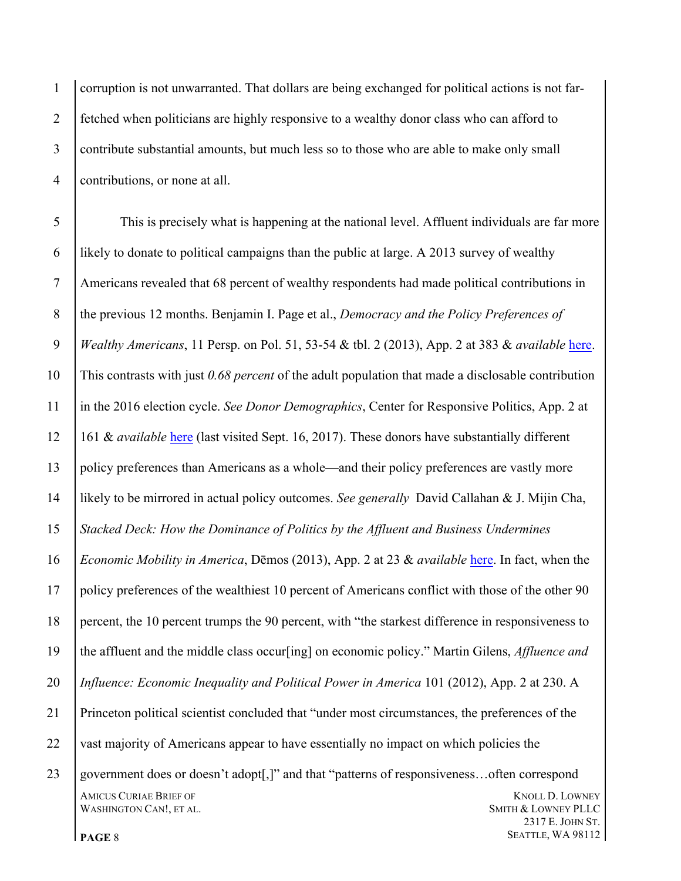corruption is not unwarranted. That dollars are being exchanged for political actions is not far- fetched when politicians are highly responsive to a wealthy donor class who can afford to contribute substantial amounts, but much less so to those who are able to make only small contributions, or none at all.

AMICUS CURIAE BRIEF OF **KNOLL D. LOWNEY** WASHINGTON CAN!, ET AL. SMITH & LOWNEY PLLC E. JOHN ST. This is precisely what is happening at the national level. Affluent individuals are far more likely to donate to political campaigns than the public at large. A 2013 survey of wealthy Americans revealed that 68 percent of wealthy respondents had made political contributions in the previous 12 months. Benjamin I. Page et al., *Democracy and the Policy Preferences of Wealthy Americans*, 11 Persp. on Pol. 51, 53-54 & tbl. 2 (2013), App. 2 at 383 & *available* here. This contrasts with just *0.68 percent* of the adult population that made a disclosable contribution in the 2016 election cycle. *See Donor Demographics*, Center for Responsive Politics, App. 2 at 161 & *available* [here](https://www.opensecrets.org/overview/donordemographics.php) (last visited Sept. 16, 2017). These donors have substantially different policy preferences than Americans as a whole—and their policy preferences are vastly more likely to be mirrored in actual policy outcomes. *See generally* David Callahan & J. Mijin Cha, *Stacked Deck: How the Dominance of Politics by the Affluent and Business Undermines Economic Mobility in America*, Dēmos (2013), App. 2 at 23 & *available* [here](http://www.demos.org/sites/default/files/imce/StackedDeck_1.pdf). In fact, when the policy preferences of the wealthiest 10 percent of Americans conflict with those of the other 90 percent, the 10 percent trumps the 90 percent, with "the starkest difference in responsiveness to the affluent and the middle class occur[ing] on economic policy." Martin Gilens, *Affluence and Influence: Economic Inequality and Political Power in America* 101 (2012), App. 2 at 230. A Princeton political scientist concluded that "under most circumstances, the preferences of the 22 vast majority of Americans appear to have essentially no impact on which policies the government does or doesn't adopt[,]" and that "patterns of responsiveness…often correspond

**PAGE** 8 **SEATTLE, WA 98112**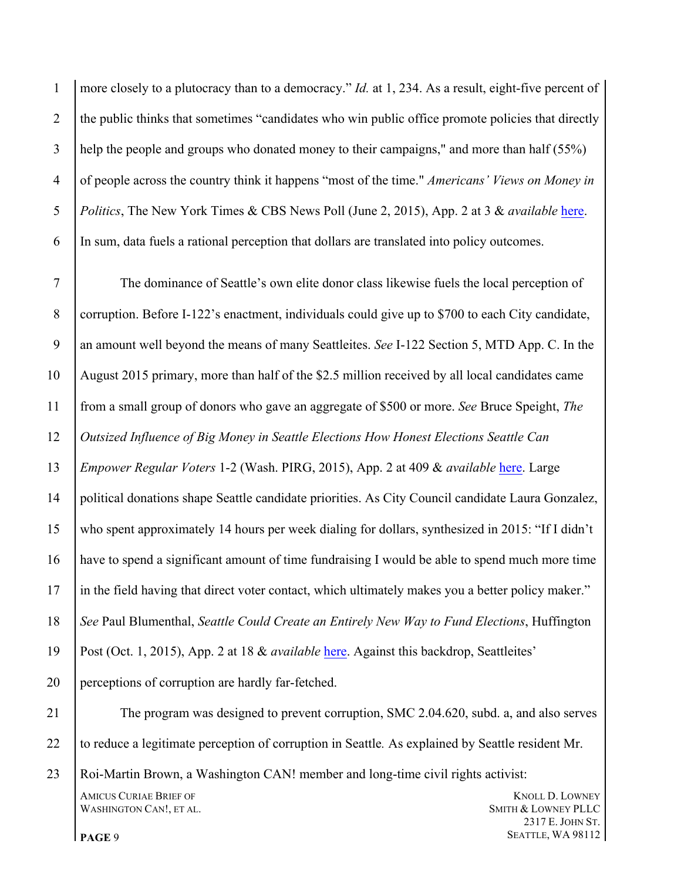1 | more closely to a plutocracy than to a democracy." *Id.* at 1, 234. As a result, eight-five percent of 2 the public thinks that sometimes "candidates who win public office promote policies that directly help the people and groups who donated money to their campaigns," and more than half (55%) of people across the country think it happens "most of the time." *Americans' Views on Money in Politics*, The New York Times & CBS News Poll (June 2, 2015), App. 2 at 3 & *available* [here](https://www.nytimes.com/interactive/2015/06/02/us/politics/money-in-politics-poll.html?mcubz=0). In sum, data fuels a rational perception that dollars are translated into policy outcomes.

**AMICUS CURIAE BRIEF OF THE CONSUMING STATE OF THE CONSUMING STATE OF THE CONSUMING STATE OF THE CONSUMING STATE OF THE CONSUMING STATE OF THE CONSUMING STATE OF THE CONSUMING STATE OF THE CONSUMING STATE OF THE CONSUMING** WASHINGTON CAN!, ET AL. SMITH & LOWNEY PLLC E. JOHN ST. The dominance of Seattle's own elite donor class likewise fuels the local perception of corruption. Before I-122's enactment, individuals could give up to \$700 to each City candidate, an amount well beyond the means of many Seattleites. *See* I-122 Section 5, MTD App. C. In the August 2015 primary, more than half of the \$2.5 million received by all local candidates came from a small group of donors who gave an aggregate of \$500 or more. *See* Bruce Speight, *The Outsized Influence of Big Money in Seattle Elections How Honest Elections Seattle Can Empower Regular Voters* 1-2 (Wash. PIRG, 2015), App. 2 at 409 & *available* here. Large political donations shape Seattle candidate priorities. As City Council candidate Laura Gonzalez, who spent approximately 14 hours per week dialing for dollars, synthesized in 2015: "If I didn't have to spend a significant amount of time fundraising I would be able to spend much more time in the field having that direct voter contact, which ultimately makes you a better policy maker." *See* Paul Blumenthal, *Seattle Could Create an Entirely New Way to Fund Elections*, Huffington Post (Oct. 1, 2015), App. 2 at 18 & *available* [here.](http://www.huffingtonpost.com/entry/honest-elections-seattle_us_560d4018e4b0af3706dfaf02) Against this backdrop, Seattleites' perceptions of corruption are hardly far-fetched. The program was designed to prevent corruption, SMC 2.04.620, subd. a, and also serves to reduce a legitimate perception of corruption in Seattle*.* As explained by Seattle resident Mr. Roi-Martin Brown, a Washington CAN! member and long-time civil rights activist:

**PAGE** 9 **SEATTLE, WA 98112**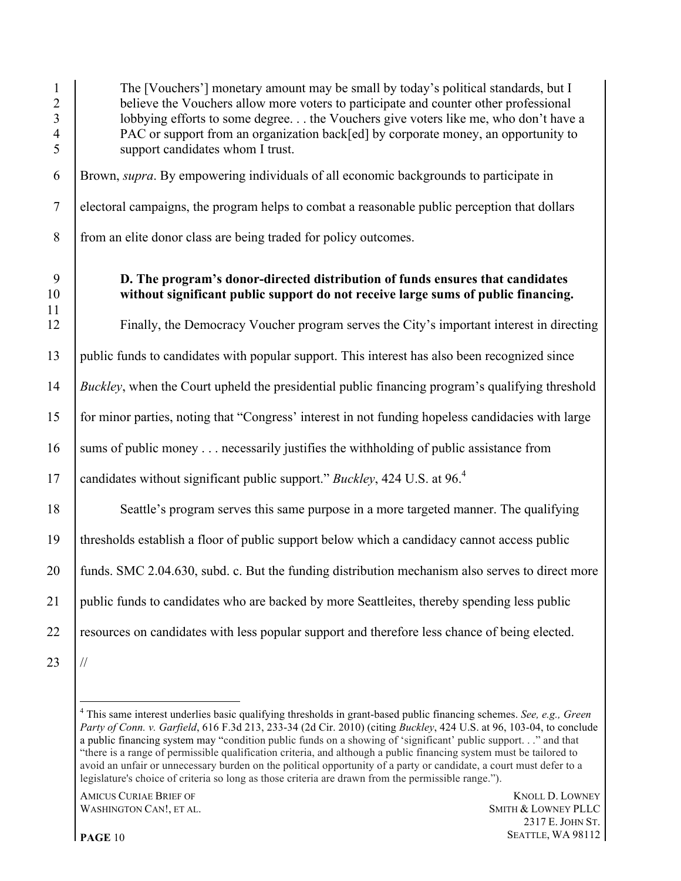| $\mathbf{1}$<br>$\overline{2}$<br>$\overline{3}$<br>$\overline{4}$<br>5 | The [Vouchers'] monetary amount may be small by today's political standards, but I<br>believe the Vouchers allow more voters to participate and counter other professional<br>lobbying efforts to some degree the Vouchers give voters like me, who don't have a<br>PAC or support from an organization back[ed] by corporate money, an opportunity to<br>support candidates whom I trust. |
|-------------------------------------------------------------------------|--------------------------------------------------------------------------------------------------------------------------------------------------------------------------------------------------------------------------------------------------------------------------------------------------------------------------------------------------------------------------------------------|
| 6                                                                       | Brown, supra. By empowering individuals of all economic backgrounds to participate in                                                                                                                                                                                                                                                                                                      |
| $\overline{7}$                                                          | electoral campaigns, the program helps to combat a reasonable public perception that dollars                                                                                                                                                                                                                                                                                               |
| 8                                                                       | from an elite donor class are being traded for policy outcomes.                                                                                                                                                                                                                                                                                                                            |
| 9<br>10<br>11                                                           | D. The program's donor-directed distribution of funds ensures that candidates<br>without significant public support do not receive large sums of public financing.                                                                                                                                                                                                                         |
| 12                                                                      | Finally, the Democracy Voucher program serves the City's important interest in directing                                                                                                                                                                                                                                                                                                   |
| 13                                                                      | public funds to candidates with popular support. This interest has also been recognized since                                                                                                                                                                                                                                                                                              |
| 14                                                                      | <i>Buckley</i> , when the Court upheld the presidential public financing program's qualifying threshold                                                                                                                                                                                                                                                                                    |
| 15                                                                      | for minor parties, noting that "Congress' interest in not funding hopeless candidacies with large                                                                                                                                                                                                                                                                                          |
| 16                                                                      | sums of public money necessarily justifies the withholding of public assistance from                                                                                                                                                                                                                                                                                                       |
| 17                                                                      | candidates without significant public support." Buckley, 424 U.S. at 96. <sup>4</sup>                                                                                                                                                                                                                                                                                                      |
| 18                                                                      | Seattle's program serves this same purpose in a more targeted manner. The qualifying                                                                                                                                                                                                                                                                                                       |
| 19                                                                      | thresholds establish a floor of public support below which a candidacy cannot access public                                                                                                                                                                                                                                                                                                |
| 20                                                                      | funds. SMC 2.04.630, subd. c. But the funding distribution mechanism also serves to direct more                                                                                                                                                                                                                                                                                            |
| 21                                                                      | public funds to candidates who are backed by more Seattleites, thereby spending less public                                                                                                                                                                                                                                                                                                |
| 22                                                                      | resources on candidates with less popular support and therefore less chance of being elected.                                                                                                                                                                                                                                                                                              |
| 23                                                                      | $\frac{1}{2}$                                                                                                                                                                                                                                                                                                                                                                              |

 This same interest underlies basic qualifying thresholds in grant-based public financing schemes. *See, e.g., Green Party of Conn. v. Garfield*, 616 F.3d 213, 233-34 (2d Cir. 2010) (citing *Buckley*, 424 U.S. at 96, 103-04, to conclude a public financing system may "condition public funds on a showing of 'significant' public support. . ." and that "there is a range of permissible qualification criteria, and although a public financing system must be tailored to avoid an unfair or unnecessary burden on the political opportunity of a party or candidate, a court must defer to a legislature's choice of criteria so long as those criteria are drawn from the permissible range.").

AMICUS CURIAE BRIEF OF KNOLL D. LOWNEY NASHINGTON CAN!, ET AL. WASHINGTON CAN!, ET AL.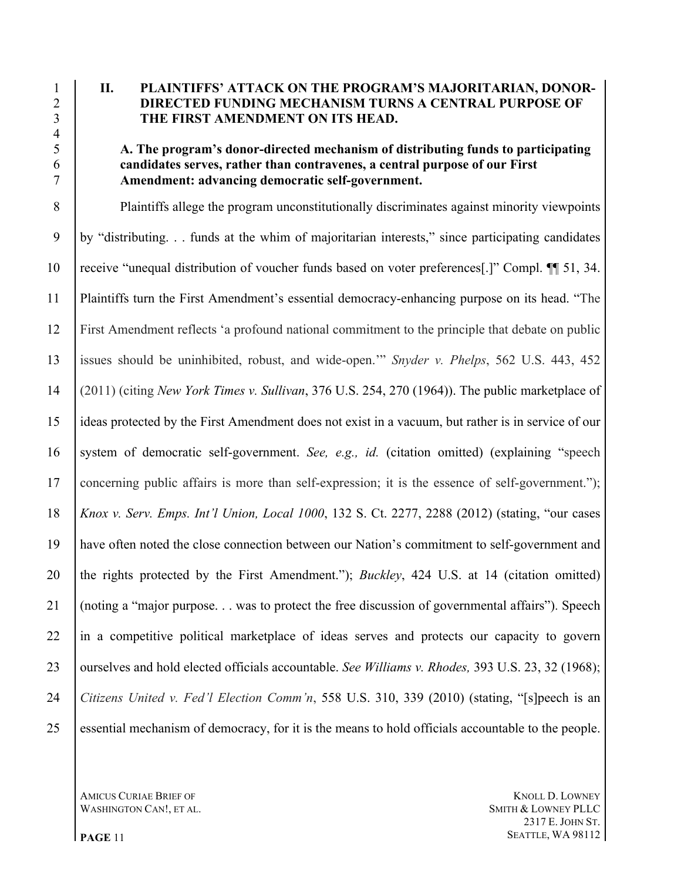### **II. PLAINTIFFS' ATTACK ON THE PROGRAM'S MAJORITARIAN, DONOR- DIRECTED FUNDING MECHANISM TURNS A CENTRAL PURPOSE OF THE FIRST AMENDMENT ON ITS HEAD.**

### **A. The program's donor-directed mechanism of distributing funds to participating candidates serves, rather than contravenes, a central purpose of our First Amendment: advancing democratic self-government.**

 Plaintiffs allege the program unconstitutionally discriminates against minority viewpoints by "distributing. . . funds at the whim of majoritarian interests," since participating candidates receive "unequal distribution of voucher funds based on voter preferences[.]" Compl. ¶¶ 51, 34. Plaintiffs turn the First Amendment's essential democracy-enhancing purpose on its head. "The First Amendment reflects 'a profound national commitment to the principle that debate on public issues should be uninhibited, robust, and wide-open.'" *Snyder v. Phelps*, 562 U.S. 443, 452 (2011) (citing *New York Times v. Sullivan*, 376 U.S. 254, 270 (1964)). The public marketplace of ideas protected by the First Amendment does not exist in a vacuum, but rather is in service of our system of democratic self-government. *See, e.g., id.* (citation omitted) (explaining "speech concerning public affairs is more than self-expression; it is the essence of self-government."); *Knox v. Serv. Emps. Int'l Union, Local 1000*, 132 S. Ct. 2277, 2288 (2012) (stating, "our cases have often noted the close connection between our Nation's commitment to self-government and the rights protected by the First Amendment."); *Buckley*, 424 U.S. at 14 (citation omitted) (noting a "major purpose. . . was to protect the free discussion of governmental affairs"). Speech 22 in a competitive political marketplace of ideas serves and protects our capacity to govern ourselves and hold elected officials accountable. *See Williams v. Rhodes,* 393 U.S. 23, 32 (1968); *Citizens United v. Fed'l Election Comm'n*, 558 U.S. 310, 339 (2010) (stating, "[s]peech is an essential mechanism of democracy, for it is the means to hold officials accountable to the people.

WASHINGTON CAN!, ET AL. SMITH & LOWNEY PLLC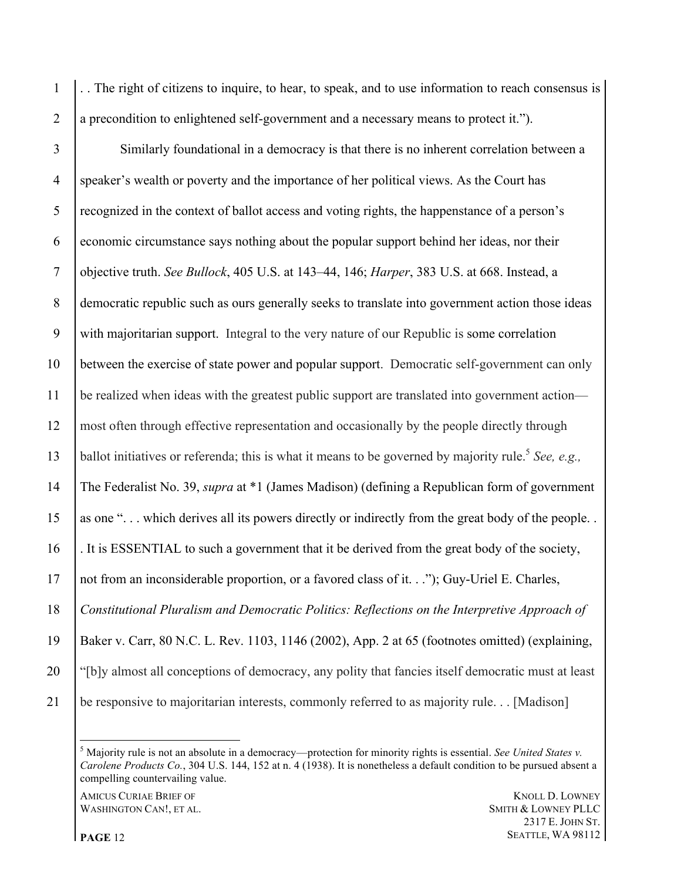. . The right of citizens to inquire, to hear, to speak, and to use information to reach consensus is a precondition to enlightened self-government and a necessary means to protect it.").

 Similarly foundational in a democracy is that there is no inherent correlation between a speaker's wealth or poverty and the importance of her political views. As the Court has recognized in the context of ballot access and voting rights, the happenstance of a person's economic circumstance says nothing about the popular support behind her ideas, nor their objective truth. *See Bullock*, 405 U.S. at 143–44, 146; *Harper*, 383 U.S. at 668. Instead, a democratic republic such as ours generally seeks to translate into government action those ideas with majoritarian support. Integral to the very nature of our Republic is some correlation between the exercise of state power and popular support. Democratic self-government can only be realized when ideas with the greatest public support are translated into government action— most often through effective representation and occasionally by the people directly through ballot initiatives or referenda; this is what it means to be governed by majority rule.5 *See, e.g.,* The Federalist No. 39, *supra* at \*1 (James Madison) (defining a Republican form of government as one ". . . which derives all its powers directly or indirectly from the great body of the people. . . It is ESSENTIAL to such a government that it be derived from the great body of the society, not from an inconsiderable proportion, or a favored class of it. . ."); Guy-Uriel E. Charles, *Constitutional Pluralism and Democratic Politics: Reflections on the Interpretive Approach of*  Baker v. Carr, 80 N.C. L. Rev. 1103, 1146 (2002), App. 2 at 65 (footnotes omitted) (explaining, "[b]y almost all conceptions of democracy, any polity that fancies itself democratic must at least be responsive to majoritarian interests, commonly referred to as majority rule. . . [Madison]

WASHINGTON CAN!, ET AL. SMITH & LOWNEY PLLC

 Majority rule is not an absolute in a democracy—protection for minority rights is essential. *See United States v. Carolene Products Co.*, 304 U.S. 144, 152 at n. 4 (1938). It is nonetheless a default condition to be pursued absent a compelling countervailing value.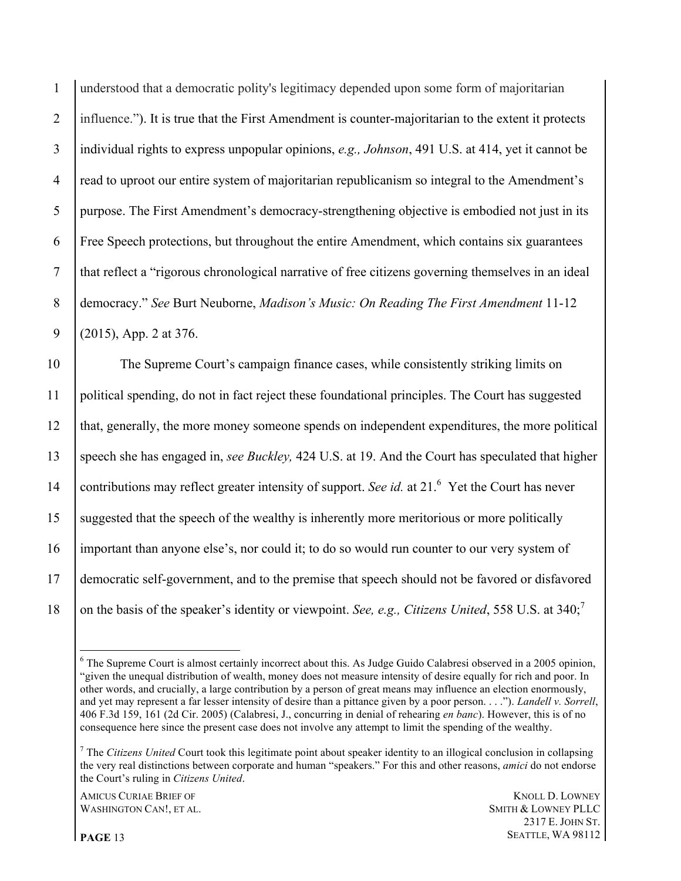understood that a democratic polity's legitimacy depended upon some form of majoritarian influence."). It is true that the First Amendment is counter-majoritarian to the extent it protects individual rights to express unpopular opinions, *e.g., Johnson*, 491 U.S. at 414, yet it cannot be read to uproot our entire system of majoritarian republicanism so integral to the Amendment's purpose. The First Amendment's democracy-strengthening objective is embodied not just in its Free Speech protections, but throughout the entire Amendment, which contains six guarantees that reflect a "rigorous chronological narrative of free citizens governing themselves in an ideal democracy." *See* Burt Neuborne, *Madison's Music: On Reading The First Amendment* 11-12 (2015), App. 2 at 376.

 The Supreme Court's campaign finance cases, while consistently striking limits on political spending, do not in fact reject these foundational principles. The Court has suggested that, generally, the more money someone spends on independent expenditures, the more political speech she has engaged in, *see Buckley,* 424 U.S. at 19. And the Court has speculated that higher 14 contributions may reflect greater intensity of support. *See id.* at 21.<sup>6</sup> Yet the Court has never 15 Suggested that the speech of the wealthy is inherently more meritorious or more politically important than anyone else's, nor could it; to do so would run counter to our very system of democratic self-government, and to the premise that speech should not be favored or disfavored 18 on the basis of the speaker's identity or viewpoint. *See, e.g., Citizens United*, 558 U.S. at 340;<sup>7</sup>

**AMICUS CURIAE BRIEF OF KNOLL D. LOWNEY** WASHINGTON CAN!, ET AL. SMITH & LOWNEY PLLC

<sup>&</sup>lt;sup>6</sup> The Supreme Court is almost certainly incorrect about this. As Judge Guido Calabresi observed in a 2005 opinion, "given the unequal distribution of wealth, money does not measure intensity of desire equally for rich and poor. In other words, and crucially, a large contribution by a person of great means may influence an election enormously, and yet may represent a far lesser intensity of desire than a pittance given by a poor person. . . ."). *Landell v. Sorrell*, 406 F.3d 159, 161 (2d Cir. 2005) (Calabresi, J., concurring in denial of rehearing *en banc*). However, this is of no consequence here since the present case does not involve any attempt to limit the spending of the wealthy.

<sup>7</sup> The *Citizens United* Court took this legitimate point about speaker identity to an illogical conclusion in collapsing the very real distinctions between corporate and human "speakers." For this and other reasons, *amici* do not endorse the Court's ruling in *Citizens United*.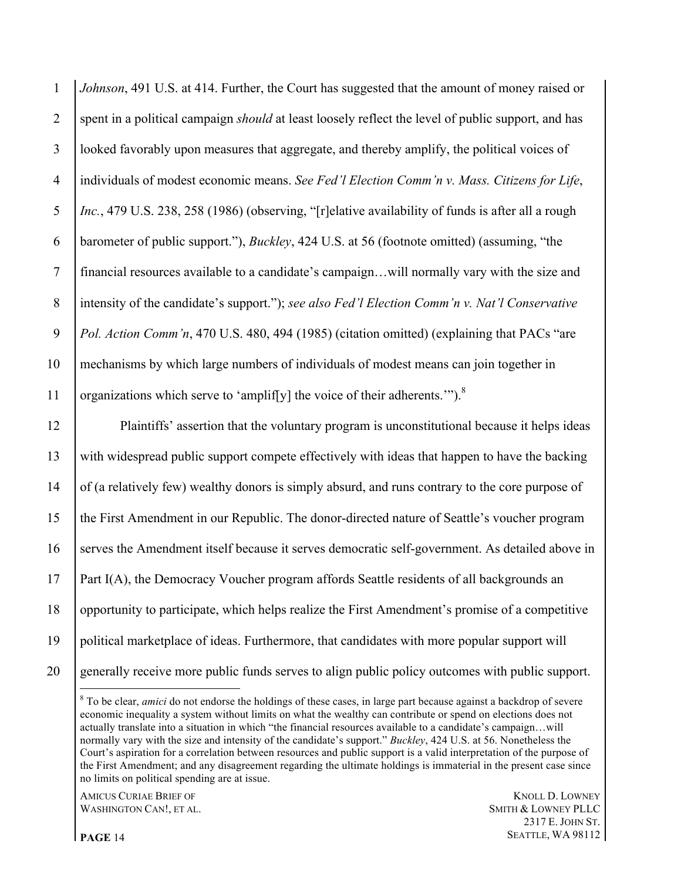*Johnson*, 491 U.S. at 414. Further, the Court has suggested that the amount of money raised or spent in a political campaign *should* at least loosely reflect the level of public support, and has looked favorably upon measures that aggregate, and thereby amplify, the political voices of individuals of modest economic means. *See Fed'l Election Comm'n v. Mass. Citizens for Life*, *Inc.*, 479 U.S. 238, 258 (1986) (observing, "[r]elative availability of funds is after all a rough barometer of public support."), *Buckley*, 424 U.S. at 56 (footnote omitted) (assuming, "the financial resources available to a candidate's campaign…will normally vary with the size and intensity of the candidate's support."); *see also Fed'l Election Comm'n v. Nat'l Conservative Pol. Action Comm'n*, 470 U.S. 480, 494 (1985) (citation omitted) (explaining that PACs "are mechanisms by which large numbers of individuals of modest means can join together in 11 organizations which serve to 'amplif[y] the voice of their adherents.'").<sup>8</sup>

 Plaintiffs' assertion that the voluntary program is unconstitutional because it helps ideas with widespread public support compete effectively with ideas that happen to have the backing of (a relatively few) wealthy donors is simply absurd, and runs contrary to the core purpose of the First Amendment in our Republic. The donor-directed nature of Seattle's voucher program serves the Amendment itself because it serves democratic self-government. As detailed above in Part I(A), the Democracy Voucher program affords Seattle residents of all backgrounds an opportunity to participate, which helps realize the First Amendment's promise of a competitive political marketplace of ideas. Furthermore, that candidates with more popular support will generally receive more public funds serves to align public policy outcomes with public support.

**AMICUS CURIAE BRIEF OF KNOLL D. LOWNEY** WASHINGTON CAN!, ET AL. SMITH & LOWNEY PLLC

 E. JOHN ST. **PAGE** 14 **SEATTLE, WA 98112** 

<sup>&</sup>lt;sup>8</sup> To be clear, *amici* do not endorse the holdings of these cases, in large part because against a backdrop of severe economic inequality a system without limits on what the wealthy can contribute or spend on elections does not actually translate into a situation in which "the financial resources available to a candidate's campaign…will normally vary with the size and intensity of the candidate's support." *Buckley*, 424 U.S. at 56. Nonetheless the Court's aspiration for a correlation between resources and public support is a valid interpretation of the purpose of the First Amendment; and any disagreement regarding the ultimate holdings is immaterial in the present case since no limits on political spending are at issue.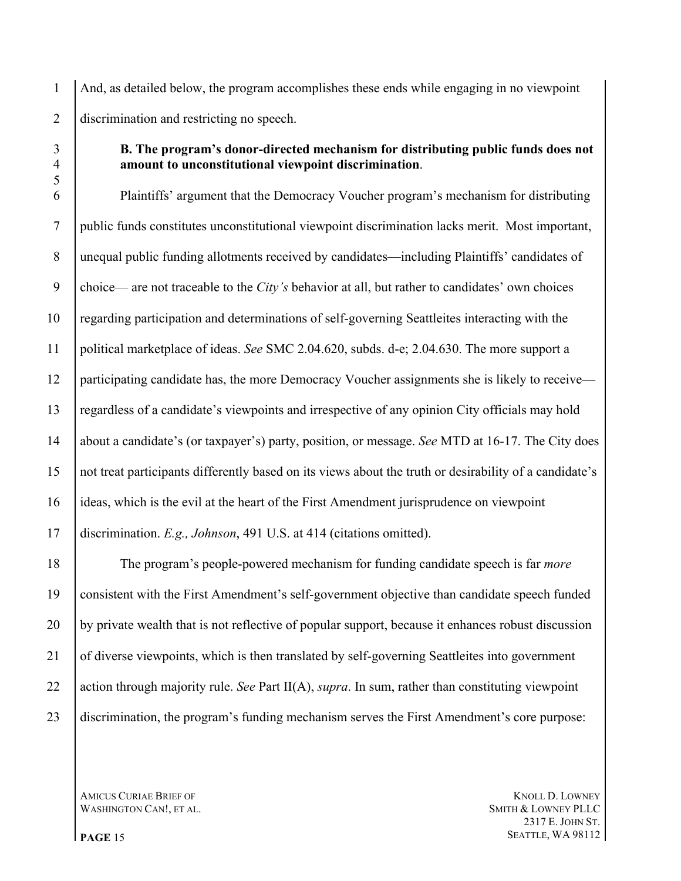And, as detailed below, the program accomplishes these ends while engaging in no viewpoint discrimination and restricting no speech.

## **B. The program's donor-directed mechanism for distributing public funds does not amount to unconstitutional viewpoint discrimination**.

 Plaintiffs' argument that the Democracy Voucher program's mechanism for distributing public funds constitutes unconstitutional viewpoint discrimination lacks merit. Most important, unequal public funding allotments received by candidates—including Plaintiffs' candidates of choice— are not traceable to the *City's* behavior at all, but rather to candidates' own choices regarding participation and determinations of self-governing Seattleites interacting with the political marketplace of ideas. *See* SMC 2.04.620, subds. d-e; 2.04.630. The more support a 12 participating candidate has, the more Democracy Voucher assignments she is likely to receive— regardless of a candidate's viewpoints and irrespective of any opinion City officials may hold about a candidate's (or taxpayer's) party, position, or message. *See* MTD at 16-17. The City does not treat participants differently based on its views about the truth or desirability of a candidate's ideas, which is the evil at the heart of the First Amendment jurisprudence on viewpoint discrimination. *E.g., Johnson*, 491 U.S. at 414 (citations omitted).

 The program's people-powered mechanism for funding candidate speech is far *more* consistent with the First Amendment's self-government objective than candidate speech funded by private wealth that is not reflective of popular support, because it enhances robust discussion of diverse viewpoints, which is then translated by self-governing Seattleites into government action through majority rule. *See* Part II(A), *supra*. In sum, rather than constituting viewpoint discrimination, the program's funding mechanism serves the First Amendment's core purpose:

WASHINGTON CAN!, ET AL. SMITH & LOWNEY PLLC

**AMICUS CURIAE BRIEF OF KNOLL D. LOWNEY**  E. JOHN ST. **PAGE** 15 **SEATTLE, WA 98112**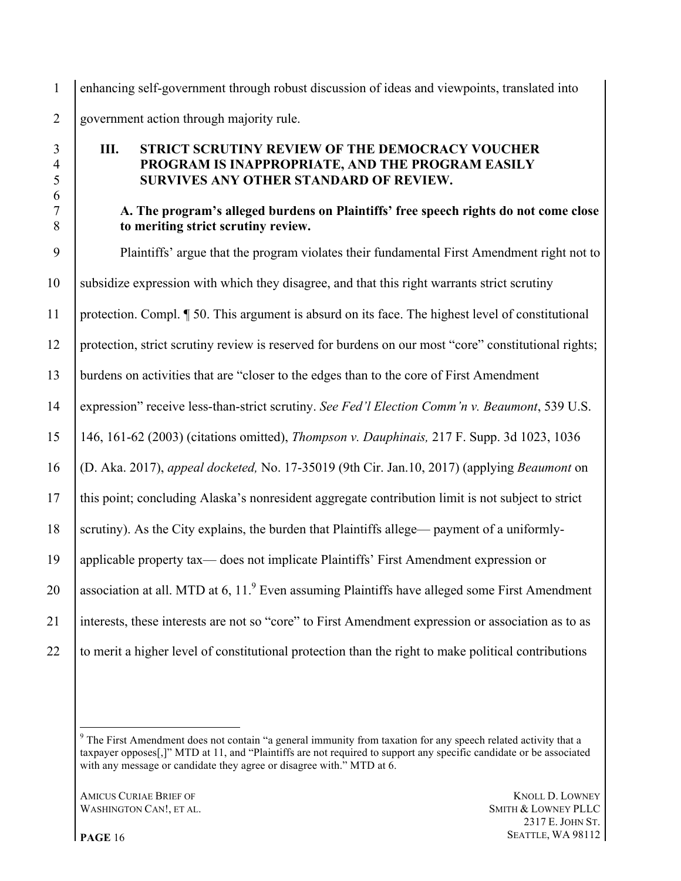enhancing self-government through robust discussion of ideas and viewpoints, translated into government action through majority rule.

# **III. STRICT SCRUTINY REVIEW OF THE DEMOCRACY VOUCHER PROGRAM IS INAPPROPRIATE, AND THE PROGRAM EASILY SURVIVES ANY OTHER STANDARD OF REVIEW.**

### **A. The program's alleged burdens on Plaintiffs' free speech rights do not come close to meriting strict scrutiny review.**

 Plaintiffs' argue that the program violates their fundamental First Amendment right not to subsidize expression with which they disagree, and that this right warrants strict scrutiny protection. Compl. ¶ 50. This argument is absurd on its face. The highest level of constitutional protection, strict scrutiny review is reserved for burdens on our most "core" constitutional rights; burdens on activities that are "closer to the edges than to the core of First Amendment expression" receive less-than-strict scrutiny. *See Fed'l Election Comm'n v. Beaumont*, 539 U.S. 146, 161-62 (2003) (citations omitted), *Thompson v. Dauphinais,* 217 F. Supp. 3d 1023, 1036 (D. Aka. 2017), *appeal docketed,* No. 17-35019 (9th Cir. Jan.10, 2017) (applying *Beaumont* on this point; concluding Alaska's nonresident aggregate contribution limit is not subject to strict scrutiny). As the City explains, the burden that Plaintiffs allege— payment of a uniformly- applicable property tax— does not implicate Plaintiffs' First Amendment expression or 20 association at all. MTD at 6, 11. $^9$  Even assuming Plaintiffs have alleged some First Amendment interests, these interests are not so "core" to First Amendment expression or association as to as to merit a higher level of constitutional protection than the right to make political contributions

**AMICUS CURIAE BRIEF OF KNOLL D. LOWNEY** WASHINGTON CAN!, ET AL. SMITH & LOWNEY PLLC

<sup>&</sup>lt;sup>9</sup> The First Amendment does not contain "a general immunity from taxation for any speech related activity that a taxpayer opposes[,]" MTD at 11, and "Plaintiffs are not required to support any specific candidate or be associated with any message or candidate they agree or disagree with." MTD at 6.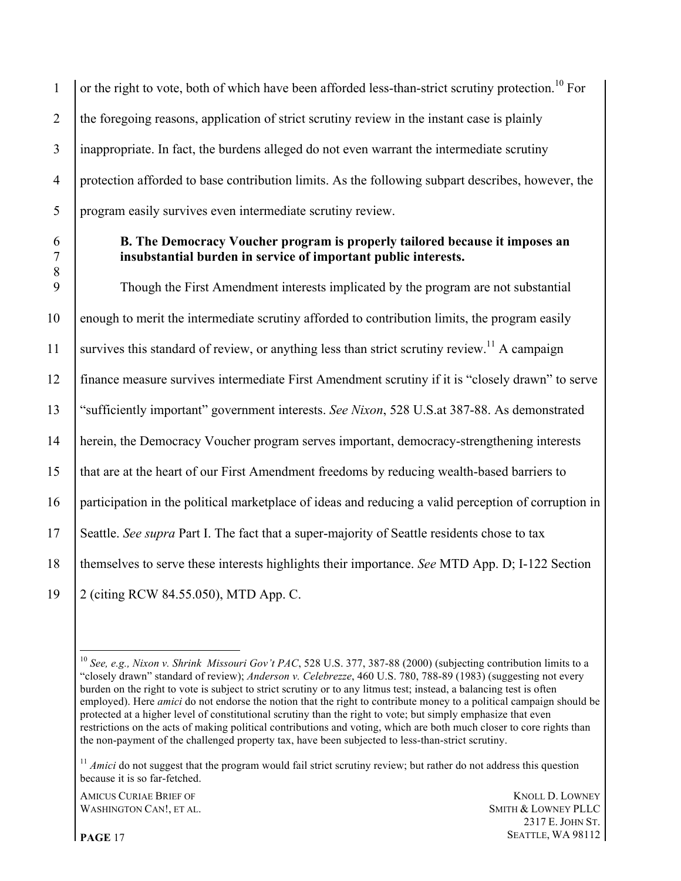$\vert$  or the right to vote, both of which have been afforded less-than-strict scrutiny protection.<sup>10</sup> For 2 the foregoing reasons, application of strict scrutiny review in the instant case is plainly inappropriate. In fact, the burdens alleged do not even warrant the intermediate scrutiny protection afforded to base contribution limits. As the following subpart describes, however, the program easily survives even intermediate scrutiny review.

## 6 **B. The Democracy Voucher program is properly tailored because it imposes an**  7 **insubstantial burden in service of important public interests.**

 Though the First Amendment interests implicated by the program are not substantial enough to merit the intermediate scrutiny afforded to contribution limits, the program easily 11 Survives this standard of review, or anything less than strict scrutiny review.<sup>11</sup> A campaign finance measure survives intermediate First Amendment scrutiny if it is "closely drawn" to serve "sufficiently important" government interests. *See Nixon*, 528 U.S.at 387-88. As demonstrated herein, the Democracy Voucher program serves important, democracy-strengthening interests that are at the heart of our First Amendment freedoms by reducing wealth-based barriers to participation in the political marketplace of ideas and reducing a valid perception of corruption in Seattle. *See supra* Part I. The fact that a super-majority of Seattle residents chose to tax themselves to serve these interests highlights their importance. *See* MTD App. D; I-122 Section 2 (citing RCW 84.55.050), MTD App. C.

8

 <sup>10</sup> *See, e.g., Nixon v. Shrink Missouri Gov't PAC*, 528 U.S. 377, 387-88 (2000) (subjecting contribution limits to a "closely drawn" standard of review); *Anderson v. Celebrezze*, 460 U.S. 780, 788-89 (1983) (suggesting not every burden on the right to vote is subject to strict scrutiny or to any litmus test; instead, a balancing test is often employed). Here *amici* do not endorse the notion that the right to contribute money to a political campaign should be protected at a higher level of constitutional scrutiny than the right to vote; but simply emphasize that even restrictions on the acts of making political contributions and voting, which are both much closer to core rights than the non-payment of the challenged property tax, have been subjected to less-than-strict scrutiny.

<sup>&</sup>lt;sup>11</sup> *Amici* do not suggest that the program would fail strict scrutiny review; but rather do not address this question because it is so far-fetched.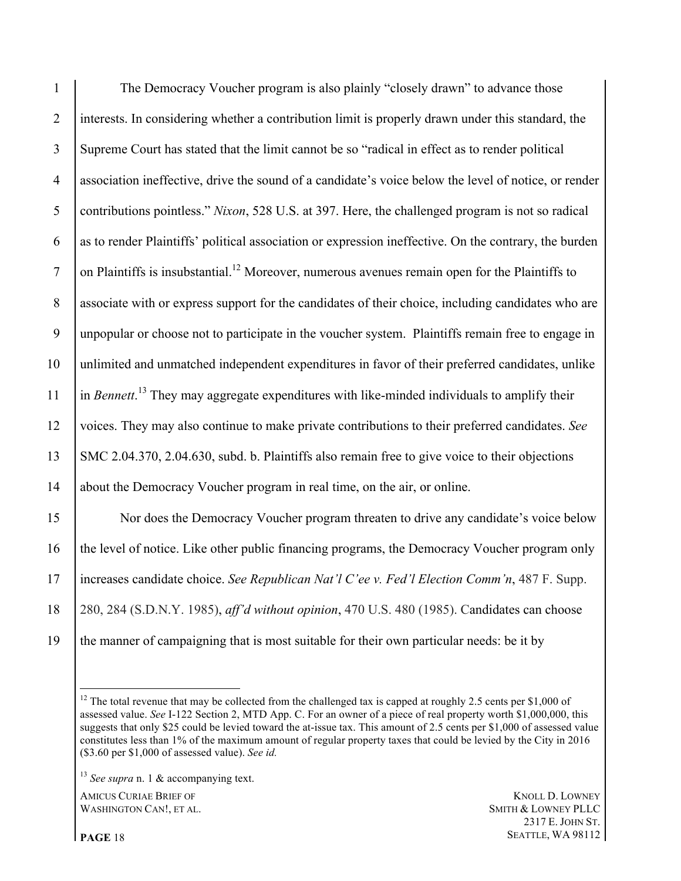The Democracy Voucher program is also plainly "closely drawn" to advance those interests. In considering whether a contribution limit is properly drawn under this standard, the Supreme Court has stated that the limit cannot be so "radical in effect as to render political association ineffective, drive the sound of a candidate's voice below the level of notice, or render contributions pointless." *Nixon*, 528 U.S. at 397. Here, the challenged program is not so radical as to render Plaintiffs' political association or expression ineffective. On the contrary, the burden  $\vert$  on Plaintiffs is insubstantial.<sup>12</sup> Moreover, numerous avenues remain open for the Plaintiffs to associate with or express support for the candidates of their choice, including candidates who are unpopular or choose not to participate in the voucher system. Plaintiffs remain free to engage in unlimited and unmatched independent expenditures in favor of their preferred candidates, unlike  $\int$  in *Bennett*.<sup>13</sup> They may aggregate expenditures with like-minded individuals to amplify their voices. They may also continue to make private contributions to their preferred candidates. *See* SMC 2.04.370, 2.04.630, subd. b. Plaintiffs also remain free to give voice to their objections about the Democracy Voucher program in real time, on the air, or online. Nor does the Democracy Voucher program threaten to drive any candidate's voice below 16 the level of notice. Like other public financing programs, the Democracy Voucher program only

increases candidate choice. *See Republican Nat'l C'ee v. Fed'l Election Comm'n*, 487 F. Supp.

280, 284 (S.D.N.Y. 1985), *aff'd without opinion*, 470 U.S. 480 (1985). Candidates can choose

the manner of campaigning that is most suitable for their own particular needs: be it by

**AMICUS CURIAE BRIEF OF KNOLL D. LOWNEY** WASHINGTON CAN!, ET AL. SMITH & LOWNEY PLLC

 The total revenue that may be collected from the challenged tax is capped at roughly 2.5 cents per \$1,000 of assessed value. *See* I-122 Section 2, MTD App. C. For an owner of a piece of real property worth \$1,000,000, this suggests that only \$25 could be levied toward the at-issue tax. This amount of 2.5 cents per \$1,000 of assessed value constitutes less than 1% of the maximum amount of regular property taxes that could be levied by the City in 2016 (\$3.60 per \$1,000 of assessed value). *See id.*

*See supra* n. 1 & accompanying text.